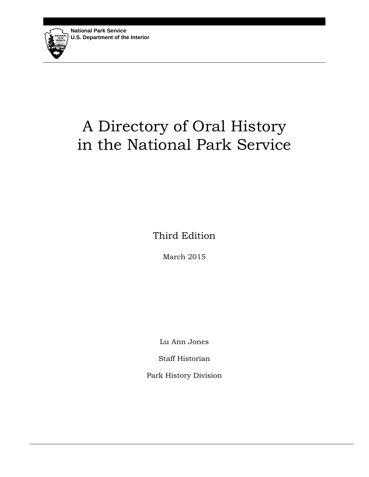# A Directory of Oral History in the National Park Service

Third Edition

March 2015

Lu Ann Jones

Staff Historian

Park History Division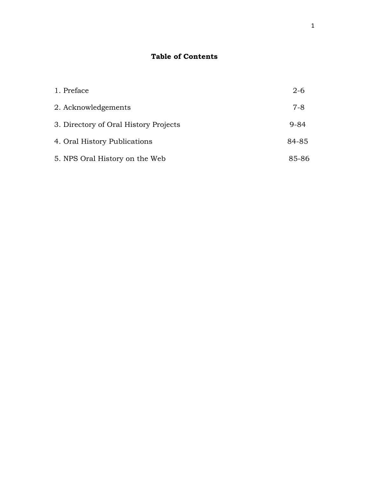# **Table of Contents**

| 1. Preface                            | $2 - 6$ |
|---------------------------------------|---------|
| 2. Acknowledgements                   | $7-8$   |
| 3. Directory of Oral History Projects | 9-84    |
| 4. Oral History Publications          | 84-85   |
| 5. NPS Oral History on the Web        | 85-86   |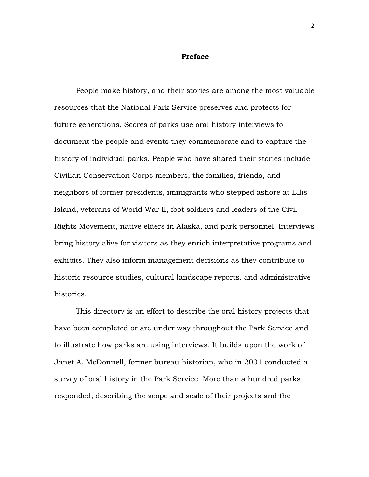#### **Preface**

People make history, and their stories are among the most valuable resources that the National Park Service preserves and protects for future generations. Scores of parks use oral history interviews to document the people and events they commemorate and to capture the history of individual parks. People who have shared their stories include Civilian Conservation Corps members, the families, friends, and neighbors of former presidents, immigrants who stepped ashore at Ellis Island, veterans of World War II, foot soldiers and leaders of the Civil Rights Movement, native elders in Alaska, and park personnel. Interviews bring history alive for visitors as they enrich interpretative programs and exhibits. They also inform management decisions as they contribute to historic resource studies, cultural landscape reports, and administrative histories.

This directory is an effort to describe the oral history projects that have been completed or are under way throughout the Park Service and to illustrate how parks are using interviews. It builds upon the work of Janet A. McDonnell, former bureau historian, who in 2001 conducted a survey of oral history in the Park Service. More than a hundred parks responded, describing the scope and scale of their projects and the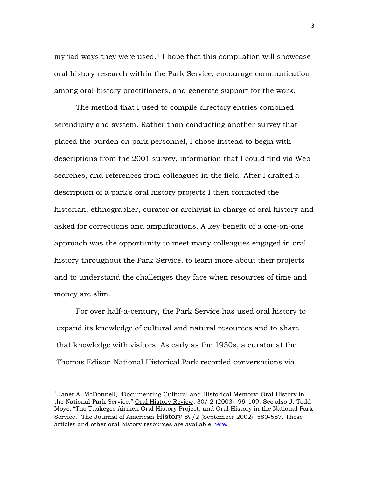myriad ways they were used.<sup>[1](#page-3-0)</sup> I hope that this compilation will showcase oral history research within the Park Service, encourage communication among oral history practitioners, and generate support for the work.

The method that I used to compile directory entries combined serendipity and system. Rather than conducting another survey that placed the burden on park personnel, I chose instead to begin with descriptions from the 2001 survey, information that I could find via Web searches, and references from colleagues in the field. After I drafted a description of a park's oral history projects I then contacted the historian, ethnographer, curator or archivist in charge of oral history and asked for corrections and amplifications. A key benefit of a one-on-one approach was the opportunity to meet many colleagues engaged in oral history throughout the Park Service, to learn more about their projects and to understand the challenges they face when resources of time and money are slim.

For over half-a-century, the Park Service has used oral history to expand its knowledge of cultural and natural resources and to share that knowledge with visitors. As early as the 1930s, a curator at the Thomas Edison National Historical Park recorded conversations via

<span id="page-3-0"></span> $<sup>1</sup>$  Janet A. McDonnell, "Documenting Cultural and Historical Memory: Oral History in</sup> the National Park Service," Oral History Review, 30/ 2 (2003): 99-109. See also J. Todd Moye*,* "The Tuskegee Airmen Oral History Project, and Oral History in the National Park Service," The Journal of American History 89/2 (September 2002): 580-587. These articles and other oral history resources are available [here.](http://www.nps.gov/parkhistory/oralhistory_NEW.htm)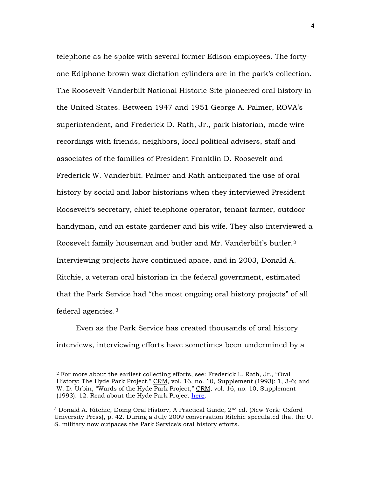telephone as he spoke with several former Edison employees. The fortyone Ediphone brown wax dictation cylinders are in the park's collection. The Roosevelt-Vanderbilt National Historic Site pioneered oral history in the United States. Between 1947 and 1951 George A. Palmer, ROVA's superintendent, and Frederick D. Rath, Jr., park historian, made wire recordings with friends, neighbors, local political advisers, staff and associates of the families of President Franklin D. Roosevelt and Frederick W. Vanderbilt. Palmer and Rath anticipated the use of oral history by social and labor historians when they interviewed President Roosevelt's secretary, chief telephone operator, tenant farmer, outdoor handyman, and an estate gardener and his wife. They also interviewed a Roosevelt family houseman and butler and Mr. Vanderbilt's butler.[2](#page-4-0) Interviewing projects have continued apace, and in 2003, Donald A. Ritchie, a veteran oral historian in the federal government, estimated that the Park Service had "the most ongoing oral history projects" of all federal agencies.[3](#page-4-1)

Even as the Park Service has created thousands of oral history interviews, interviewing efforts have sometimes been undermined by a

<span id="page-4-0"></span> $\overline{a}$ 

<sup>2</sup> For more about the earliest collecting efforts, see: Frederick L. Rath, Jr., "Oral History: The Hyde Park Project," CRM, vol. 16, no. 10, Supplement (1993): 1, 3-6; and W. D. Urbin, "Wards of the Hyde Park Project," CRM, vol. 16, no. 10, Supplement (1993): 12. Read about the Hyde Park Project [here.](http://npshistory.com/newsletters/crm/crm-v16n10s.pdf)

<span id="page-4-1"></span><sup>&</sup>lt;sup>3</sup> Donald A. Ritchie, Doing Oral History, A Practical Guide, 2<sup>nd</sup> ed. (New York: Oxford University Press), p. 42. During a July 2009 conversation Ritchie speculated that the U. S. military now outpaces the Park Service's oral history efforts.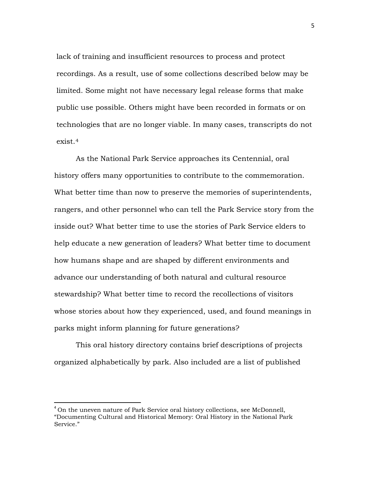lack of training and insufficient resources to process and protect recordings. As a result, use of some collections described below may be limited. Some might not have necessary legal release forms that make public use possible. Others might have been recorded in formats or on technologies that are no longer viable. In many cases, transcripts do not exist.[4](#page-5-0)

As the National Park Service approaches its Centennial, oral history offers many opportunities to contribute to the commemoration. What better time than now to preserve the memories of superintendents, rangers, and other personnel who can tell the Park Service story from the inside out? What better time to use the stories of Park Service elders to help educate a new generation of leaders? What better time to document how humans shape and are shaped by different environments and advance our understanding of both natural and cultural resource stewardship? What better time to record the recollections of visitors whose stories about how they experienced, used, and found meanings in parks might inform planning for future generations?

This oral history directory contains brief descriptions of projects organized alphabetically by park. Also included are a list of published

<span id="page-5-0"></span><sup>&</sup>lt;sup>4</sup> On the uneven nature of Park Service oral history collections, see McDonnell, "Documenting Cultural and Historical Memory: Oral History in the National Park Service."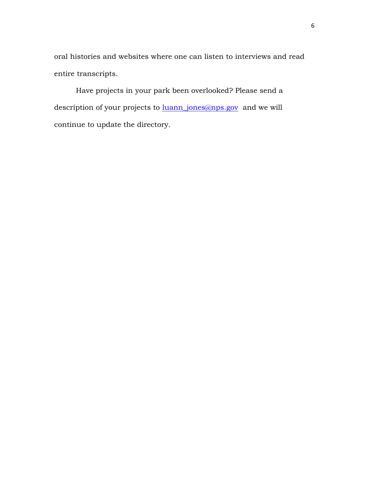oral histories and websites where one can listen to interviews and read entire transcripts.

Have projects in your park been overlooked? Please send a description of your projects to **luann\_jones@nps.gov** and we will continue to update the directory.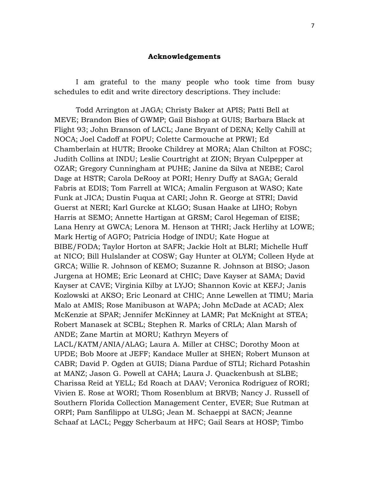## **Acknowledgements**

I am grateful to the many people who took time from busy schedules to edit and write directory descriptions. They include:

Todd Arrington at JAGA; Christy Baker at APIS; Patti Bell at MEVE; Brandon Bies of GWMP; Gail Bishop at GUIS; Barbara Black at Flight 93; John Branson of LACL; Jane Bryant of DENA; Kelly Cahill at NOCA; Joel Cadoff at FOPU; Colette Carmouche at PRWI; Ed Chamberlain at HUTR; Brooke Childrey at MORA; Alan Chilton at FOSC; Judith Collins at INDU; Leslie Courtright at ZION; Bryan Culpepper at OZAR; Gregory Cunningham at PUHE; Janine da Silva at NEBE; Carol Dage at HSTR; Carola DeRooy at PORI; Henry Duffy at SAGA; Gerald Fabris at EDIS; Tom Farrell at WICA; Amalin Ferguson at WASO; Kate Funk at JICA; Dustin Fuqua at CARI; John R. George at STRI; David Guerst at NERI; Karl Gurcke at KLGO; Susan Haake at LIHO; Robyn Harris at SEMO; Annette Hartigan at GRSM; Carol Hegeman of EISE; Lana Henry at GWCA; Lenora M. Henson at THRI; Jack Herlihy at LOWE; Mark Hertig of AGFO; Patricia Hodge of INDU; Kate Hogue at BIBE/FODA; Taylor Horton at SAFR; Jackie Holt at BLRI; Michelle Huff at NICO; Bill Hulslander at COSW; Gay Hunter at OLYM; Colleen Hyde at GRCA; Willie R. Johnson of KEMO; Suzanne R. Johnson at BISO; Jason Jurgena at HOME; Eric Leonard at CHIC; Dave Kayser at SAMA; David Kayser at CAVE; Virginia Kilby at LYJO; Shannon Kovic at KEFJ; Janis Kozlowski at AKSO; Eric Leonard at CHIC; Anne Lewellen at TIMU; Maria Malo at AMIS; Rose Manibuson at WAPA; John McDade at ACAD; Alex McKenzie at SPAR; Jennifer McKinney at LAMR; Pat McKnight at STEA; Robert Manasek at SCBL; Stephen R. Marks of CRLA; Alan Marsh of ANDE; Zane Martin at MORU; Kathryn Meyers of LACL/KATM/ANIA/ALAG; Laura A. Miller at CHSC; Dorothy Moon at UPDE; Bob Moore at JEFF; Kandace Muller at SHEN; Robert Munson at CABR; David P. Ogden at GUIS; Diana Pardue of STLI; Richard Potashin at MANZ; Jason G. Powell at CAHA; Laura J. Quackenbush at SLBE; Charissa Reid at YELL; Ed Roach at DAAV; Veronica Rodriguez of RORI; Vivien E. Rose at WORI; Thom Rosenblum at BRVB; Nancy J. Russell of Southern Florida Collection Management Center, EVER; Sue Rutman at ORPI; Pam Sanfilippo at ULSG; Jean M. Schaeppi at SACN; Jeanne Schaaf at LACL; Peggy Scherbaum at HFC; Gail Sears at HOSP; Timbo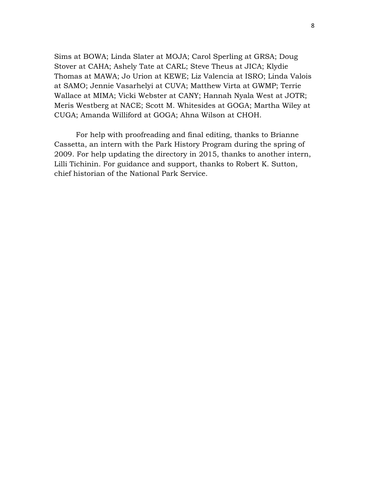Sims at BOWA; Linda Slater at MOJA; Carol Sperling at GRSA; Doug Stover at CAHA; Ashely Tate at CARL; Steve Theus at JICA; Klydie Thomas at MAWA; Jo Urion at KEWE; Liz Valencia at ISRO; Linda Valois at SAMO; Jennie Vasarhelyi at CUVA; Matthew Virta at GWMP; Terrie Wallace at MIMA; Vicki Webster at CANY; Hannah Nyala West at JOTR; Meris Westberg at NACE; Scott M. Whitesides at GOGA; Martha Wiley at CUGA; Amanda Williford at GOGA; Ahna Wilson at CHOH.

For help with proofreading and final editing, thanks to Brianne Cassetta, an intern with the Park History Program during the spring of 2009. For help updating the directory in 2015, thanks to another intern, Lilli Tichinin. For guidance and support, thanks to Robert K. Sutton, chief historian of the National Park Service.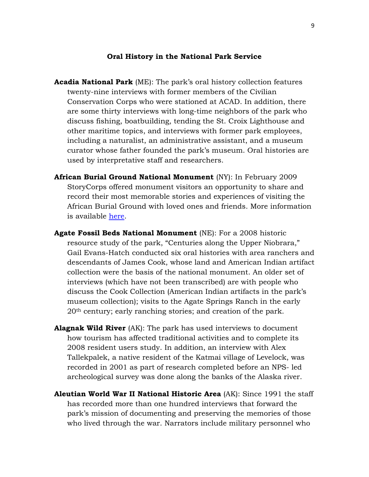### **Oral History in the National Park Service**

- **Acadia National Park** (ME): The park's oral history collection features twenty-nine interviews with former members of the Civilian Conservation Corps who were stationed at ACAD. In addition, there are some thirty interviews with long-time neighbors of the park who discuss fishing, boatbuilding, tending the St. Croix Lighthouse and other maritime topics, and interviews with former park employees, including a naturalist, an administrative assistant, and a museum curator whose father founded the park's museum. Oral histories are used by interpretative staff and researchers.
- **African Burial Ground National Monument** (NY): In February 2009 StoryCorps offered monument visitors an opportunity to share and record their most memorable stories and experiences of visiting the African Burial Ground with loved ones and friends. More information is available [here.](http://www.nps.gov/afbg/upload/AFBG_BlackHistoryMonth2009.pdf)
- **Agate Fossil Beds National Monument** (NE): For a 2008 historic resource study of the park, "Centuries along the Upper Niobrara," Gail Evans-Hatch conducted six oral histories with area ranchers and descendants of James Cook, whose land and American Indian artifact collection were the basis of the national monument. An older set of interviews (which have not been transcribed) are with people who discuss the Cook Collection (American Indian artifacts in the park's museum collection); visits to the Agate Springs Ranch in the early 20th century; early ranching stories; and creation of the park.
- **Alagnak Wild River** (AK): The park has used interviews to document how tourism has affected traditional activities and to complete its 2008 resident users study. In addition, an interview with Alex Tallekpalek, a native resident of the Katmai village of Levelock, was recorded in 2001 as part of research completed before an NPS- led archeological survey was done along the banks of the Alaska river.
- **Aleutian World War II National Historic Area** (AK): Since 1991 the staff has recorded more than one hundred interviews that forward the park's mission of documenting and preserving the memories of those who lived through the war. Narrators include military personnel who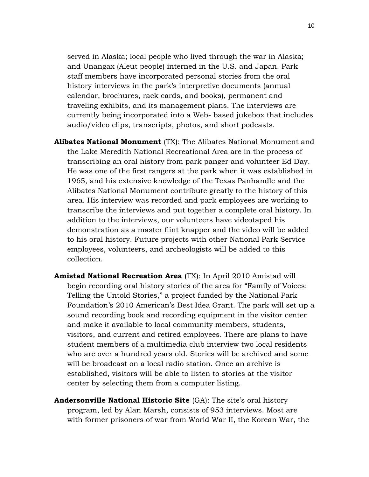served in Alaska; local people who lived through the war in Alaska; and Unangax (Aleut people) interned in the U.S. and Japan. Park staff members have incorporated personal stories from the oral history interviews in the park's interpretive documents (annual calendar, brochures, rack cards, and books), permanent and traveling exhibits, and its management plans. The interviews are currently being incorporated into a Web- based jukebox that includes audio/video clips, transcripts, photos, and short podcasts.

- **Alibates National Monument** (TX): The Alibates National Monument and the Lake Meredith National Recreational Area are in the process of transcribing an oral history from park panger and volunteer Ed Day. He was one of the first rangers at the park when it was established in 1965, and his extensive knowledge of the Texas Panhandle and the Alibates National Monument contribute greatly to the history of this area. His interview was recorded and park employees are working to transcribe the interviews and put together a complete oral history. In addition to the interviews, our volunteers have videotaped his demonstration as a master flint knapper and the video will be added to his oral history. Future projects with other National Park Service employees, volunteers, and archeologists will be added to this collection.
- **Amistad National Recreation Area** (TX): In April 2010 Amistad will begin recording oral history stories of the area for "Family of Voices: Telling the Untold Stories," a project funded by the National Park Foundation's 2010 American's Best Idea Grant. The park will set up a sound recording book and recording equipment in the visitor center and make it available to local community members, students, visitors, and current and retired employees. There are plans to have student members of a multimedia club interview two local residents who are over a hundred years old. Stories will be archived and some will be broadcast on a local radio station. Once an archive is established, visitors will be able to listen to stories at the visitor center by selecting them from a computer listing.
- **Andersonville National Historic Site** (GA): The site's oral history program, led by Alan Marsh, consists of 953 interviews. Most are with former prisoners of war from World War II, the Korean War, the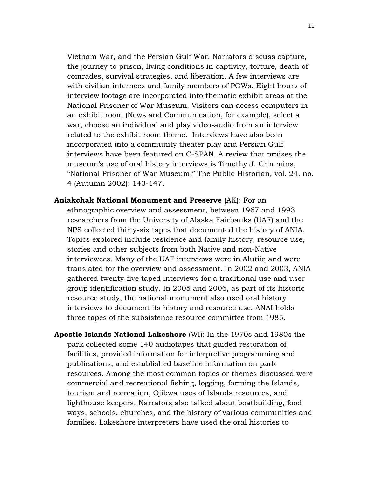Vietnam War, and the Persian Gulf War. Narrators discuss capture, the journey to prison, living conditions in captivity, torture, death of comrades, survival strategies, and liberation. A few interviews are with civilian internees and family members of POWs. Eight hours of interview footage are incorporated into thematic exhibit areas at the National Prisoner of War Museum. Visitors can access computers in an exhibit room (News and Communication, for example), select a war, choose an individual and play video-audio from an interview related to the exhibit room theme. Interviews have also been incorporated into a community theater play and Persian Gulf interviews have been featured on C-SPAN. A review that praises the museum's use of oral history interviews is Timothy J. Crimmins, "National Prisoner of War Museum," The Public Historian, vol. 24, no. 4 (Autumn 2002): 143-147.

**Aniakchak National Monument and Preserve** (AK): For an ethnographic overview and assessment, between 1967 and 1993 researchers from the University of Alaska Fairbanks (UAF) and the NPS collected thirty-six tapes that documented the history of ANIA. Topics explored include residence and family history, resource use, stories and other subjects from both Native and non-Native interviewees. Many of the UAF interviews were in Alutiiq and were translated for the overview and assessment. In 2002 and 2003, ANIA gathered twenty-five taped interviews for a traditional use and user group identification study. In 2005 and 2006, as part of its historic resource study, the national monument also used oral history interviews to document its history and resource use. ANAI holds three tapes of the subsistence resource committee from 1985.

**Apostle Islands National Lakeshore** (WI): In the 1970s and 1980s the park collected some 140 audiotapes that guided restoration of facilities, provided information for interpretive programming and publications, and established baseline information on park resources. Among the most common topics or themes discussed were commercial and recreational fishing, logging, farming the Islands, tourism and recreation, Ojibwa uses of Islands resources, and lighthouse keepers. Narrators also talked about boatbuilding, food ways, schools, churches, and the history of various communities and families. Lakeshore interpreters have used the oral histories to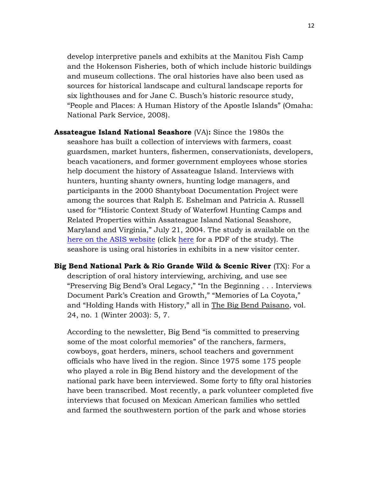develop interpretive panels and exhibits at the Manitou Fish Camp and the Hokenson Fisheries, both of which include historic buildings and museum collections. The oral histories have also been used as sources for historical landscape and cultural landscape reports for six lighthouses and for Jane C. Busch's historic resource study, "People and Places: A Human History of the Apostle Islands" (Omaha: National Park Service, 2008).

- **Assateague Island National Seashore** (VA)**:** Since the 1980s the seashore has built a collection of interviews with farmers, coast guardsmen, market hunters, fishermen, conservationists, developers, beach vacationers, and former government employees whose stories help document the history of Assateague Island. Interviews with hunters, hunting shanty owners, hunting lodge managers, and participants in the 2000 Shantyboat Documentation Project were among the sources that Ralph E. Eshelman and Patricia A. Russell used for "Historic Context Study of Waterfowl Hunting Camps and Related Properties within Assateague Island National Seashore, Maryland and Virginia," July 21, 2004. The study is available on the [here on the ASIS website](http://www.nps.gov/asis/learn/management/index.htm) (click [here](http://www.nps.gov/asis/learn/management/upload/AssateagueHuntingLodgesStudyFinalReport.pdf) for a PDF of the study). The seashore is using oral histories in exhibits in a new visitor center.
- **Big Bend National Park & Rio Grande Wild & Scenic River** (TX): For a description of oral history interviewing, archiving, and use see "Preserving Big Bend's Oral Legacy," "In the Beginning . . . Interviews Document Park's Creation and Growth," "Memories of La Coyota," and "Holding Hands with History," all in The Big Bend Paisano, vol. 24, no. 1 (Winter 2003): 5, 7.

According to the newsletter, Big Bend "is committed to preserving some of the most colorful memories" of the ranchers, farmers, cowboys, goat herders, miners, school teachers and government officials who have lived in the region. Since 1975 some 175 people who played a role in Big Bend history and the development of the national park have been interviewed. Some forty to fifty oral histories have been transcribed. Most recently, a park volunteer completed five interviews that focused on Mexican American families who settled and farmed the southwestern portion of the park and whose stories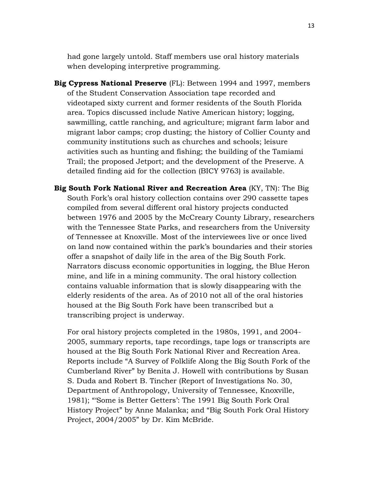had gone largely untold. Staff members use oral history materials when developing interpretive programming.

- **Big Cypress National Preserve** (FL): Between 1994 and 1997, members of the Student Conservation Association tape recorded and videotaped sixty current and former residents of the South Florida area. Topics discussed include Native American history; logging, sawmilling, cattle ranching, and agriculture; migrant farm labor and migrant labor camps; crop dusting; the history of Collier County and community institutions such as churches and schools; leisure activities such as hunting and fishing; the building of the Tamiami Trail; the proposed Jetport; and the development of the Preserve. A detailed finding aid for the collection (BICY 9763) is available.
- **Big South Fork National River and Recreation Area** (KY, TN): The Big South Fork's oral history collection contains over 290 cassette tapes compiled from several different oral history projects conducted between 1976 and 2005 by the McCreary County Library, researchers with the Tennessee State Parks, and researchers from the University of Tennessee at Knoxville. Most of the interviewees live or once lived on land now contained within the park's boundaries and their stories offer a snapshot of daily life in the area of the Big South Fork. Narrators discuss economic opportunities in logging, the Blue Heron mine, and life in a mining community. The oral history collection contains valuable information that is slowly disappearing with the elderly residents of the area. As of 2010 not all of the oral histories housed at the Big South Fork have been transcribed but a transcribing project is underway.

For oral history projects completed in the 1980s, 1991, and 2004- 2005, summary reports, tape recordings, tape logs or transcripts are housed at the Big South Fork National River and Recreation Area. Reports include "A Survey of Folklife Along the Big South Fork of the Cumberland River" by Benita J. Howell with contributions by Susan S. Duda and Robert B. Tincher (Report of Investigations No. 30, Department of Anthropology, University of Tennessee, Knoxville, 1981); "'Some is Better Getters': The 1991 Big South Fork Oral History Project" by Anne Malanka; and "Big South Fork Oral History Project, 2004/2005" by Dr. Kim McBride.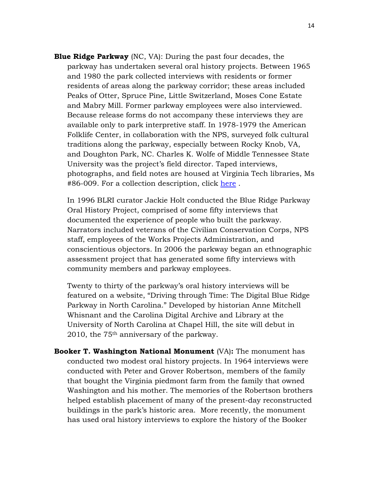**Blue Ridge Parkway** (NC, VA): During the past four decades, the parkway has undertaken several oral history projects. Between 1965 and 1980 the park collected interviews with residents or former residents of areas along the parkway corridor; these areas included Peaks of Otter, Spruce Pine, Little Switzerland, Moses Cone Estate and Mabry Mill. Former parkway employees were also interviewed. Because release forms do not accompany these interviews they are available only to park interpretive staff. In 1978-1979 the American Folklife Center, in collaboration with the NPS, surveyed folk cultural traditions along the parkway, especially between Rocky Knob, VA, and Doughton Park, NC. Charles K. Wolfe of Middle Tennessee State University was the project's field director. Taped interviews, photographs, and field notes are housed at Virginia Tech libraries, Ms #86-009. For a collection description, click [here](http://spec.lib.vt.edu/specgen/oralindx.htm) .

In 1996 BLRI curator Jackie Holt conducted the Blue Ridge Parkway Oral History Project, comprised of some fifty interviews that documented the experience of people who built the parkway. Narrators included veterans of the Civilian Conservation Corps, NPS staff, employees of the Works Projects Administration, and conscientious objectors. In 2006 the parkway began an ethnographic assessment project that has generated some fifty interviews with community members and parkway employees.

Twenty to thirty of the parkway's oral history interviews will be featured on a website, "Driving through Time: The Digital Blue Ridge Parkway in North Carolina." Developed by historian Anne Mitchell Whisnant and the Carolina Digital Archive and Library at the University of North Carolina at Chapel Hill, the site will debut in 2010, the 75th anniversary of the parkway.

**Booker T. Washington National Monument** (VA)**:** The monument has conducted two modest oral history projects. In 1964 interviews were conducted with Peter and Grover Robertson, members of the family that bought the Virginia piedmont farm from the family that owned Washington and his mother. The memories of the Robertson brothers helped establish placement of many of the present-day reconstructed buildings in the park's historic area. More recently, the monument has used oral history interviews to explore the history of the Booker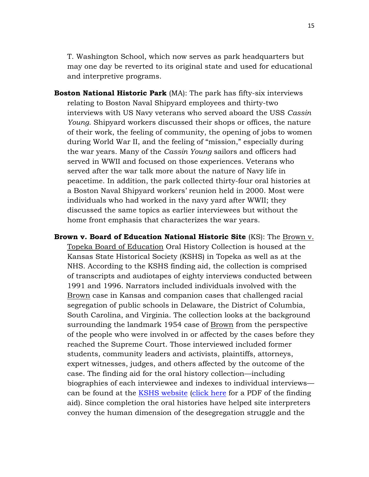T. Washington School, which now serves as park headquarters but may one day be reverted to its original state and used for educational and interpretive programs.

- **Boston National Historic Park** (MA): The park has fifty-six interviews relating to Boston Naval Shipyard employees and thirty-two interviews with US Navy veterans who served aboard the USS *Cassin Young*. Shipyard workers discussed their shops or offices, the nature of their work, the feeling of community, the opening of jobs to women during World War II, and the feeling of "mission," especially during the war years. Many of the *Cassin Young* sailors and officers had served in WWII and focused on those experiences. Veterans who served after the war talk more about the nature of Navy life in peacetime. In addition, the park collected thirty-four oral histories at a Boston Naval Shipyard workers' reunion held in 2000. Most were individuals who had worked in the navy yard after WWII; they discussed the same topics as earlier interviewees but without the home front emphasis that characterizes the war years.
- **Brown v. Board of Education National Historic Site** (KS): The Brown v. Topeka Board of Education Oral History Collection is housed at the Kansas State Historical Society (KSHS) in Topeka as well as at the NHS. According to the KSHS finding aid, the collection is comprised of transcripts and audiotapes of eighty interviews conducted between 1991 and 1996. Narrators included individuals involved with the Brown case in Kansas and companion cases that challenged racial segregation of public schools in Delaware, the District of Columbia, South Carolina, and Virginia. The collection looks at the background surrounding the landmark 1954 case of Brown from the perspective of the people who were involved in or affected by the cases before they reached the Supreme Court. Those interviewed included former students, community leaders and activists, plaintiffs, attorneys, expert witnesses, judges, and others affected by the outcome of the case. The finding aid for the oral history collection—including biographies of each interviewee and indexes to individual interviews— can be found at the [KSHS website](http://kshs.org/p/brown-v-board-of-education-oral-history/13996) [\(click here](http://kshs.org/research/collections/documents/personalpapers/findingaids/brownvboard/BrownFindingAid.pdf) for a PDF of the finding aid). Since completion the oral histories have helped site interpreters convey the human dimension of the desegregation struggle and the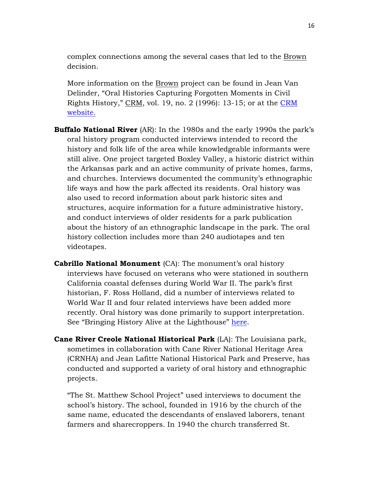complex connections among the several cases that led to the Brown decision.

More information on the Brown project can be found in Jean Van Delinder, "Oral Histories Capturing Forgotten Moments in Civil Rights History," CRM, vol. 19, no. 2 (1996): 13-15; or at the [CRM](http://npshistory.com/newsletters/crm/crm-v19n2.pdf)  [website.](http://npshistory.com/newsletters/crm/crm-v19n2.pdf)

- **Buffalo National River** (AR): In the 1980s and the early 1990s the park's oral history program conducted interviews intended to record the history and folk life of the area while knowledgeable informants were still alive. One project targeted Boxley Valley, a historic district within the Arkansas park and an active community of private homes, farms, and churches. Interviews documented the community's ethnographic life ways and how the park affected its residents. Oral history was also used to record information about park historic sites and structures, acquire information for a future administrative history, and conduct interviews of older residents for a park publication about the history of an ethnographic landscape in the park. The oral history collection includes more than 240 audiotapes and ten videotapes.
- **Cabrillo National Monument** (CA): The monument's oral history interviews have focused on veterans who were stationed in southern California coastal defenses during World War II. The park's first historian, F. Ross Holland, did a number of interviews related to World War II and four related interviews have been added more recently. Oral history was done primarily to support interpretation. See "Bringing History Alive at the Lighthouse" [here.](http://www.nps.gov/cabr/historyculture/bringing-history-alive.htm)
- **Cane River Creole National Historical Park** (LA): The Louisiana park, sometimes in collaboration with Cane River National Heritage Area (CRNHA) and Jean Lafitte National Historical Park and Preserve, has conducted and supported a variety of oral history and ethnographic projects.

"The St. Matthew School Project" used interviews to document the school's history. The school, founded in 1916 by the church of the same name, educated the descendants of enslaved laborers, tenant farmers and sharecroppers. In 1940 the church transferred St.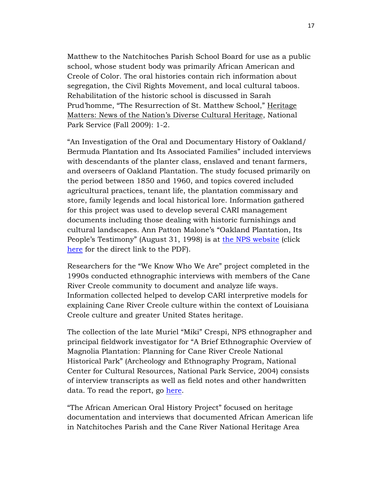Matthew to the Natchitoches Parish School Board for use as a public school, whose student body was primarily African American and Creole of Color. The oral histories contain rich information about segregation, the Civil Rights Movement, and local cultural taboos. Rehabilitation of the historic school is discussed in Sarah Prud'homme, "The Resurrection of St. Matthew School," Heritage Matters: News of the Nation's Diverse Cultural Heritage, National Park Service (Fall 2009): 1-2.

"An Investigation of the Oral and Documentary History of Oakland/ Bermuda Plantation and Its Associated Families" included interviews with descendants of the planter class, enslaved and tenant farmers, and overseers of Oakland Plantation. The study focused primarily on the period between 1850 and 1960, and topics covered included agricultural practices, tenant life, the plantation commissary and store, family legends and local historical lore. Information gathered for this project was used to develop several CARI management documents including those dealing with historic furnishings and cultural landscapes. Ann Patton Malone's "Oakland Plantation, Its People's Testimony" (August 31, 1998) is at [the NPS website](http://www.nps.gov/cari/learn/historyculture/oakland-and-magnolia-historical-documents.htm) (click [here](http://www.nps.gov/cari/learn/historyculture/upload/oaklandplantationitspeoplestestimony.pdf) for the direct link to the PDF).

Researchers for the "We Know Who We Are" project completed in the 1990s conducted ethnographic interviews with members of the Cane River Creole community to document and analyze life ways. Information collected helped to develop CARI interpretive models for explaining Cane River Creole culture within the context of Louisiana Creole culture and greater United States heritage.

The collection of the late Muriel "Miki" Crespi, NPS ethnographer and principal fieldwork investigator for "A Brief Ethnographic Overview of Magnolia Plantation: Planning for Cane River Creole National Historical Park" (Archeology and Ethnography Program, National Center for Cultural Resources, National Park Service, 2004) consists of interview transcripts as well as field notes and other handwritten data. To read the report, go [here.](http://www.nps.gov/archeology/pubs/studies/STUDY04B.htm)

"The African American Oral History Project" focused on heritage documentation and interviews that documented African American life in Natchitoches Parish and the Cane River National Heritage Area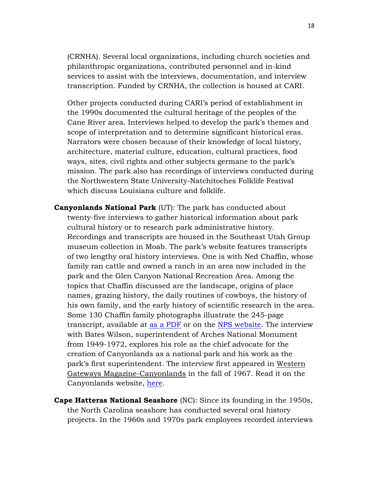(CRNHA). Several local organizations, including church societies and philanthropic organizations, contributed personnel and in-kind services to assist with the interviews, documentation, and interview transcription. Funded by CRNHA, the collection is housed at CARI.

Other projects conducted during CARI's period of establishment in the 1990s documented the cultural heritage of the peoples of the Cane River area. Interviews helped to develop the park's themes and scope of interpretation and to determine significant historical eras. Narrators were chosen because of their knowledge of local history, architecture, material culture, education, cultural practices, food ways, sites, civil rights and other subjects germane to the park's mission. The park also has recordings of interviews conducted during the Northwestern State University-Natchitoches Folklife Festival which discuss Louisiana culture and folklife.

- **Canyonlands National Park** (UT): The park has conducted about twenty-five interviews to gather historical information about park cultural history or to research park administrative history. Recordings and transcripts are housed in the Southeast Utah Group museum collection in Moab. The park's website features transcripts of two lengthy oral history interviews. One is with Ned Chaffin, whose family ran cattle and owned a ranch in an area now included in the park and the Glen Canyon National Recreation Area. Among the topics that Chaffin discussed are the landscape, origins of place names, grazing history, the daily routines of cowboys, the history of his own family, and the early history of scientific research in the area. Some 130 Chaffin family photographs illustrate the 245-page transcript, available at [as a PDF](http://www.nps.gov/cany/historyculture/upload/chaffin.pdf) or on the [NPS website.](http://www.nps.gov/cany/historyculture/nedchaffin.htm) The interview with Bates Wilson, superintendent of Arches National Monument from 1949-1972, explores his role as the chief advocate for the creation of Canyonlands as a national park and his work as the park's first superintendent. The interview first appeared in Western Gateways Magazine-Canyonlands in the fall of 1967. Read it on the Canyonlands website, [here.](http://www.nps.gov/cany/historyculture/bateswilson.htm)
- **Cape Hatteras National Seashore** (NC): Since its founding in the 1950s, the North Carolina seashore has conducted several oral history projects. In the 1960s and 1970s park employees recorded interviews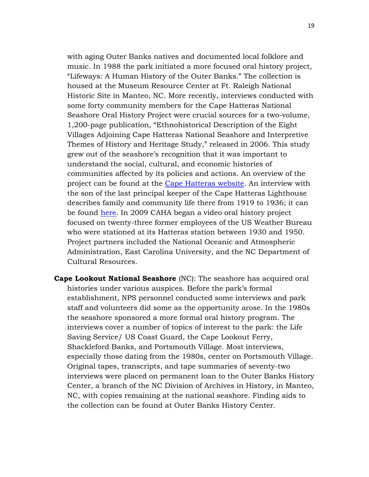with aging Outer Banks natives and documented local folklore and music. In 1988 the park initiated a more focused oral history project, "Lifeways: A Human History of the Outer Banks." The collection is housed at the Museum Resource Center at Ft. Raleigh National Historic Site in Manteo, NC. More recently, interviews conducted with some forty community members for the Cape Hatteras National Seashore Oral History Project were crucial sources for a two-volume, 1,200-page publication, "Ethnohistorical Description of the Eight Villages Adjoining Cape Hatteras National Seashore and Interpretive Themes of History and Heritage Study," released in 2006. This study grew out of the seashore's recognition that it was important to understand the social, cultural, and economic histories of communities affected by its policies and actions. An overview of the project can be found at the [Cape Hatteras website.](http://www.nps.gov/caha/parknews/celebrating-people-and-places-on-the-outer-banks-nps-releases-oral-history-study.htm) An interview with the son of the last principal keeper of the Cape Hatteras Lighthouse describes family and community life there from 1919 to 1936; it can be found [here.](http://www.nps.gov/caha/learn/historyculture/upload/RANY) In 2009 CAHA began a video oral history project focused on twenty-three former employees of the US Weather Bureau who were stationed at its Hatteras station between 1930 and 1950. Project partners included the National Oceanic and Atmospheric Administration, East Carolina University, and the NC Department of Cultural Resources.

**Cape Lookout National Seashore** (NC): The seashore has acquired oral histories under various auspices. Before the park's formal establishment, NPS personnel conducted some interviews and park staff and volunteers did some as the opportunity arose. In the 1980s the seashore sponsored a more formal oral history program. The interviews cover a number of topics of interest to the park: the Life Saving Service/ US Coast Guard, the Cape Lookout Ferry, Shackleford Banks, and Portsmouth Village. Most interviews, especially those dating from the 1980s, center on Portsmouth Village. Original tapes, transcripts, and tape summaries of seventy-two interviews were placed on permanent loan to the Outer Banks History Center, a branch of the NC Division of Archives in History, in Manteo, NC, with copies remaining at the national seashore. Finding aids to the collection can be found at Outer Banks History Center.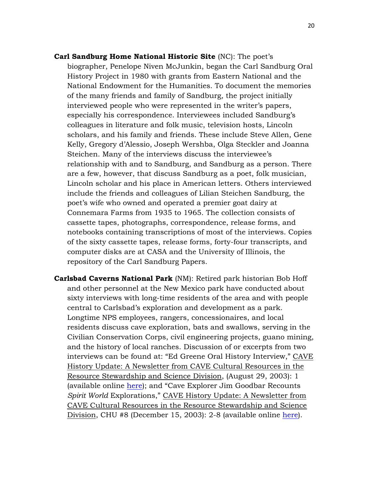- **Carl Sandburg Home National Historic Site** (NC): The poet's biographer, Penelope Niven McJunkin, began the Carl Sandburg Oral History Project in 1980 with grants from Eastern National and the National Endowment for the Humanities. To document the memories of the many friends and family of Sandburg, the project initially interviewed people who were represented in the writer's papers, especially his correspondence. Interviewees included Sandburg's colleagues in literature and folk music, television hosts, Lincoln scholars, and his family and friends. These include Steve Allen, Gene Kelly, Gregory d'Alessio, Joseph Wershba, Olga Steckler and Joanna Steichen. Many of the interviews discuss the interviewee's relationship with and to Sandburg, and Sandburg as a person. There are a few, however, that discuss Sandburg as a poet, folk musician, Lincoln scholar and his place in American letters. Others interviewed include the friends and colleagues of Lilian Steichen Sandburg, the poet's wife who owned and operated a premier goat dairy at Connemara Farms from 1935 to 1965. The collection consists of cassette tapes, photographs, correspondence, release forms, and notebooks containing transcriptions of most of the interviews. Copies of the sixty cassette tapes, release forms, forty-four transcripts, and computer disks are at CASA and the University of Illinois, the repository of the Carl Sandburg Papers.
- **Carlsbad Caverns National Park** (NM): Retired park historian Bob Hoff and other personnel at the New Mexico park have conducted about sixty interviews with long-time residents of the area and with people central to Carlsbad's exploration and development as a park. Longtime NPS employees, rangers, concessionaires, and local residents discuss cave exploration, bats and swallows, serving in the Civilian Conservation Corps, civil engineering projects, guano mining, and the history of local ranches. Discussion of or excerpts from two interviews can be found at: "Ed Greene Oral History Interview," CAVE History Update: A Newsletter from CAVE Cultural Resources in the Resource Stewardship and Science Division, (August 29, 2003): 1 (available online [here\)](http://www.nps.gov/cave/planyourvisit/upload/CHU_20030829.pdf); and "Cave Explorer Jim Goodbar Recounts *Spirit World* Explorations," CAVE History Update: A Newsletter from CAVE Cultural Resources in the Resource Stewardship and Science Division, CHU #8 (December 15, 2003): 2-8 (available online [here\)](http://www.nps.gov/cave/planyourvisit/upload/CHU_20031215.pdf).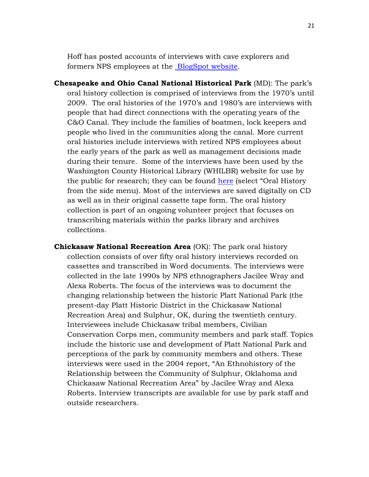Hoff has posted accounts of interviews with cave explorers and formers NPS employees at the [BlogSpot website.](http://carlsbadcavernshistory.blogspot.com/)

- **Chesapeake and Ohio Canal National Historical Park** (MD): The park's oral history collection is comprised of interviews from the 1970's until 2009. The oral histories of the 1970's and 1980's are interviews with people that had direct connections with the operating years of the C&O Canal. They include the families of boatmen, lock keepers and people who lived in the communities along the canal. More current oral histories include interviews with retired NPS employees about the early years of the park as well as management decisions made during their tenure. Some of the interviews have been used by the Washington County Historical Library (WHILBR) website for use by the public for research; they can be found [here](http://www.whilbr.org/CandOcanal/index.aspx) (select "Oral History from the side menu). Most of the interviews are saved digitally on CD as well as in their original cassette tape form. The oral history collection is part of an ongoing volunteer project that focuses on transcribing materials within the parks library and archives collections.
- **Chickasaw National Recreation Area** (OK): The park oral history collection consists of over fifty oral history interviews recorded on cassettes and transcribed in Word documents. The interviews were collected in the late 1990s by NPS ethnographers Jacilee Wray and Alexa Roberts. The focus of the interviews was to document the changing relationship between the historic Platt National Park (the present-day Platt Historic District in the Chickasaw National Recreation Area) and Sulphur, OK, during the twentieth century. Interviewees include Chickasaw tribal members, Civilian Conservation Corps men, community members and park staff. Topics include the historic use and development of Platt National Park and perceptions of the park by community members and others. These interviews were used in the 2004 report, "An Ethnohistory of the Relationship between the Community of Sulphur, Oklahoma and Chickasaw National Recreation Area" by Jacilee Wray and Alexa Roberts. Interview transcripts are available for use by park staff and outside researchers.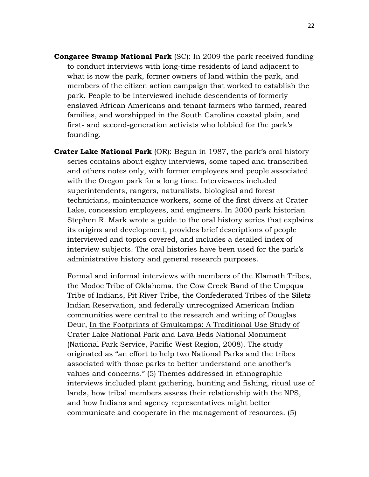- **Congaree Swamp National Park** (SC): In 2009 the park received funding to conduct interviews with long-time residents of land adjacent to what is now the park, former owners of land within the park, and members of the citizen action campaign that worked to establish the park. People to be interviewed include descendents of formerly enslaved African Americans and tenant farmers who farmed, reared families, and worshipped in the South Carolina coastal plain, and first- and second-generation activists who lobbied for the park's founding.
- **Crater Lake National Park** (OR): Begun in 1987, the park's oral history series contains about eighty interviews, some taped and transcribed and others notes only, with former employees and people associated with the Oregon park for a long time. Interviewees included superintendents, rangers, naturalists, biological and forest technicians, maintenance workers, some of the first divers at Crater Lake, concession employees, and engineers. In 2000 park historian Stephen R. Mark wrote a guide to the oral history series that explains its origins and development, provides brief descriptions of people interviewed and topics covered, and includes a detailed index of interview subjects. The oral histories have been used for the park's administrative history and general research purposes.

Formal and informal interviews with members of the Klamath Tribes, the Modoc Tribe of Oklahoma, the Cow Creek Band of the Umpqua Tribe of Indians, Pit River Tribe, the Confederated Tribes of the Siletz Indian Reservation, and federally unrecognized American Indian communities were central to the research and writing of Douglas Deur, In the Footprints of Gmukamps: A Traditional Use Study of Crater Lake National Park and Lava Beds National Monument (National Park Service, Pacific West Region, 2008). The study originated as "an effort to help two National Parks and the tribes associated with those parks to better understand one another's values and concerns." (5) Themes addressed in ethnographic interviews included plant gathering, hunting and fishing, ritual use of lands, how tribal members assess their relationship with the NPS, and how Indians and agency representatives might better communicate and cooperate in the management of resources. (5)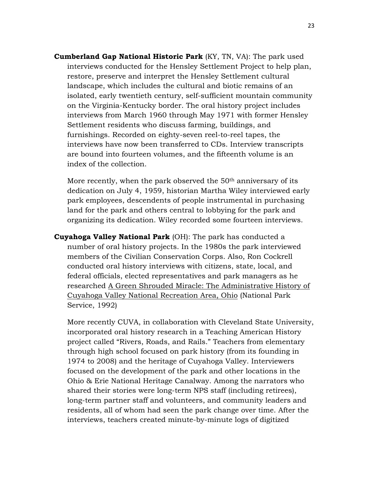**Cumberland Gap National Historic Park** (KY, TN, VA): The park used interviews conducted for the Hensley Settlement Project to help plan, restore, preserve and interpret the Hensley Settlement cultural landscape, which includes the cultural and biotic remains of an isolated, early twentieth century, self-sufficient mountain community on the Virginia-Kentucky border. The oral history project includes interviews from March 1960 through May 1971 with former Hensley Settlement residents who discuss farming, buildings, and furnishings. Recorded on eighty-seven reel-to-reel tapes, the interviews have now been transferred to CDs. Interview transcripts are bound into fourteen volumes, and the fifteenth volume is an index of the collection.

More recently, when the park observed the 50<sup>th</sup> anniversary of its dedication on July 4, 1959, historian Martha Wiley interviewed early park employees, descendents of people instrumental in purchasing land for the park and others central to lobbying for the park and organizing its dedication. Wiley recorded some fourteen interviews.

**Cuyahoga Valley National Park** (OH): The park has conducted a number of oral history projects. In the 1980s the park interviewed members of the Civilian Conservation Corps. Also, Ron Cockrell conducted oral history interviews with citizens, state, local, and federal officials, elected representatives and park managers as he researched A Green Shrouded Miracle: The Administrative History of Cuyahoga Valley National Recreation Area, Ohio (National Park Service, 1992)

More recently CUVA, in collaboration with Cleveland State University, incorporated oral history research in a Teaching American History project called "Rivers, Roads, and Rails." Teachers from elementary through high school focused on park history (from its founding in 1974 to 2008) and the heritage of Cuyahoga Valley. Interviewers focused on the development of the park and other locations in the Ohio & Erie National Heritage Canalway. Among the narrators who shared their stories were long-term NPS staff (including retirees), long-term partner staff and volunteers, and community leaders and residents, all of whom had seen the park change over time. After the interviews, teachers created minute-by-minute logs of digitized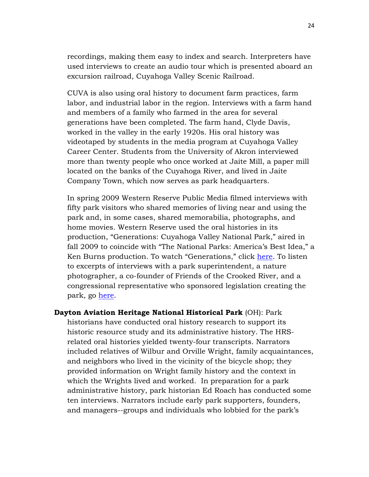recordings, making them easy to index and search. Interpreters have used interviews to create an audio tour which is presented aboard an excursion railroad, Cuyahoga Valley Scenic Railroad.

CUVA is also using oral history to document farm practices, farm labor, and industrial labor in the region. Interviews with a farm hand and members of a family who farmed in the area for several generations have been completed. The farm hand, Clyde Davis, worked in the valley in the early 1920s. His oral history was videotaped by students in the media program at Cuyahoga Valley Career Center. Students from the University of Akron interviewed more than twenty people who once worked at Jaite Mill, a paper mill located on the banks of the Cuyahoga River, and lived in Jaite Company Town, which now serves as park headquarters.

In spring 2009 Western Reserve Public Media filmed interviews with fifty park visitors who shared memories of living near and using the park and, in some cases, shared memorabilia, photographs, and home movies. Western Reserve used the oral histories in its production, "Generations: Cuyahoga Valley National Park," aired in fall 2009 to coincide with "The National Parks: America's Best Idea," a Ken Burns production. To watch "Generations," click [here.](http://www.generationscvnp.org/video.aspx) To listen to excerpts of interviews with a park superintendent, a nature photographer, a co-founder of Friends of the Crooked River, and a congressional representative who sponsored legislation creating the park, go [here.](http://www.generationscvnp.org/oral-histories.aspx)

**Dayton Aviation Heritage National Historical Park** (OH): Park historians have conducted oral history research to support its historic resource study and its administrative history. The HRSrelated oral histories yielded twenty-four transcripts. Narrators included relatives of Wilbur and Orville Wright, family acquaintances, and neighbors who lived in the vicinity of the bicycle shop; they provided information on Wright family history and the context in which the Wrights lived and worked. In preparation for a park administrative history, park historian Ed Roach has conducted some ten interviews. Narrators include early park supporters, founders, and managers--groups and individuals who lobbied for the park's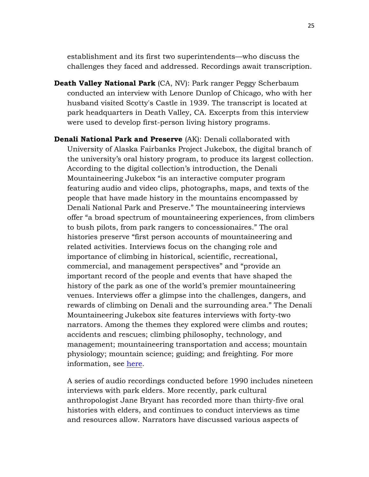establishment and its first two superintendents—who discuss the challenges they faced and addressed. Recordings await transcription.

- **Death Valley National Park** (CA, NV): Park ranger Peggy Scherbaum conducted an interview with Lenore Dunlop of Chicago, who with her husband visited Scotty's Castle in 1939. The transcript is located at park headquarters in Death Valley, CA. Excerpts from this interview were used to develop first-person living history programs.
- **Denali National Park and Preserve** (AK): Denali collaborated with University of Alaska Fairbanks Project Jukebox, the digital branch of the university's oral history program, to produce its largest collection. According to the digital collection's introduction, the Denali Mountaineering Jukebox "is an interactive computer program featuring audio and video clips, photographs, maps, and texts of the people that have made history in the mountains encompassed by Denali National Park and Preserve." The mountaineering interviews offer "a broad spectrum of mountaineering experiences, from climbers to bush pilots, from park rangers to concessionaires." The oral histories preserve "first person accounts of mountaineering and related activities. Interviews focus on the changing role and importance of climbing in historical, scientific, recreational, commercial, and management perspectives" and "provide an important record of the people and events that have shaped the history of the park as one of the world's premier mountaineering venues. Interviews offer a glimpse into the challenges, dangers, and rewards of climbing on Denali and the surrounding area." The Denali Mountaineering Jukebox site features interviews with forty-two narrators. Among the themes they explored were climbs and routes; accidents and rescues; climbing philosophy, technology, and management; mountaineering transportation and access; mountain physiology; mountain science; guiding; and freighting. For more information, see [here.](http://jukebox.uaf.edu/denali/home.htm)

A series of audio recordings conducted before 1990 includes nineteen interviews with park elders. More recently, park cultural anthropologist Jane Bryant has recorded more than thirty-five oral histories with elders, and continues to conduct interviews as time and resources allow. Narrators have discussed various aspects of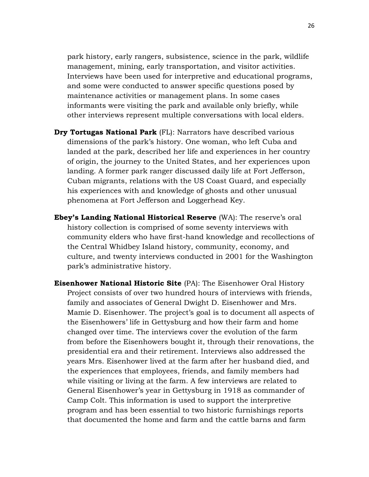park history, early rangers, subsistence, science in the park, wildlife management, mining, early transportation, and visitor activities. Interviews have been used for interpretive and educational programs, and some were conducted to answer specific questions posed by maintenance activities or management plans. In some cases informants were visiting the park and available only briefly, while other interviews represent multiple conversations with local elders.

- **Dry Tortugas National Park** (FL): Narrators have described various dimensions of the park's history. One woman, who left Cuba and landed at the park, described her life and experiences in her country of origin, the journey to the United States, and her experiences upon landing. A former park ranger discussed daily life at Fort Jefferson, Cuban migrants, relations with the US Coast Guard, and especially his experiences with and knowledge of ghosts and other unusual phenomena at Fort Jefferson and Loggerhead Key.
- **Ebey's Landing National Historical Reserve** (WA): The reserve's oral history collection is comprised of some seventy interviews with community elders who have first-hand knowledge and recollections of the Central Whidbey Island history, community, economy, and culture, and twenty interviews conducted in 2001 for the Washington park's administrative history.
- **Eisenhower National Historic Site** (PA): The Eisenhower Oral History Project consists of over two hundred hours of interviews with friends, family and associates of General Dwight D. Eisenhower and Mrs. Mamie D. Eisenhower. The project's goal is to document all aspects of the Eisenhowers' life in Gettysburg and how their farm and home changed over time. The interviews cover the evolution of the farm from before the Eisenhowers bought it, through their renovations, the presidential era and their retirement. Interviews also addressed the years Mrs. Eisenhower lived at the farm after her husband died, and the experiences that employees, friends, and family members had while visiting or living at the farm. A few interviews are related to General Eisenhower's year in Gettysburg in 1918 as commander of Camp Colt. This information is used to support the interpretive program and has been essential to two historic furnishings reports that documented the home and farm and the cattle barns and farm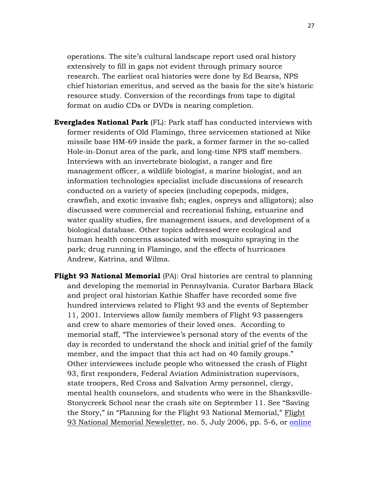operations. The site's cultural landscape report used oral history extensively to fill in gaps not evident through primary source research. The earliest oral histories were done by Ed Bearss, NPS chief historian emeritus, and served as the basis for the site's historic resource study. Conversion of the recordings from tape to digital format on audio CDs or DVDs is nearing completion.

- **Everglades National Park** (FL): Park staff has conducted interviews with former residents of Old Flamingo, three servicemen stationed at Nike missile base HM-69 inside the park, a former farmer in the so-called Hole-in-Donut area of the park, and long-time NPS staff members. Interviews with an invertebrate biologist, a ranger and fire management officer, a wildlife biologist, a marine biologist, and an information technologies specialist include discussions of research conducted on a variety of species (including copepods, midges, crawfish, and exotic invasive fish; eagles, ospreys and alligators); also discussed were commercial and recreational fishing, estuarine and water quality studies, fire management issues, and development of a biological database. Other topics addressed were ecological and human health concerns associated with mosquito spraying in the park; drug running in Flamingo, and the effects of hurricanes Andrew, Katrina, and Wilma.
- **Flight 93 National Memorial** (PA): Oral histories are central to planning and developing the memorial in Pennsylvania. Curator Barbara Black and project oral historian Kathie Shaffer have recorded some five hundred interviews related to Flight 93 and the events of September 11, 2001. Interviews allow family members of Flight 93 passengers and crew to share memories of their loved ones. According to memorial staff, "The interviewee's personal story of the events of the day is recorded to understand the shock and initial grief of the family member, and the impact that this act had on 40 family groups." Other interviewees include people who witnessed the crash of Flight 93, first responders, Federal Aviation Administration supervisors, state troopers, Red Cross and Salvation Army personnel, clergy, mental health counselors, and students who were in the Shanksville-Stonycreek School near the crash site on September 11. See "Saving the Story," in "Planning for the Flight 93 National Memorial," Flight 93 National Memorial Newsletter, no. 5, July 2006, pp. 5-6, or [online](http://www.nps.gov/flni/parknews/upload/07-06Newsletter5--Final.pdf)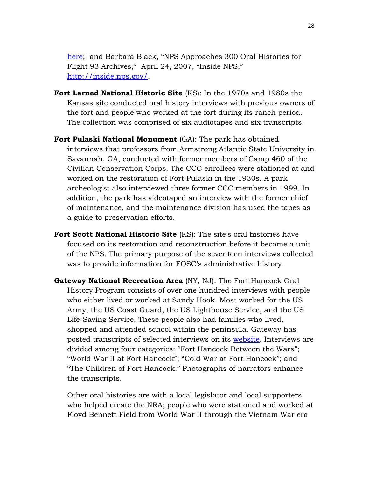[here;](http://www.nps.gov/flni/parknews/upload/07-06Newsletter5--Final.pdf) and Barbara Black, "NPS Approaches 300 Oral Histories for Flight 93 Archives," April 24, 2007, "Inside NPS," [http://inside.nps.gov/.](http://inside.nps.gov/index.cfm?handler=viewnpsnewsarticle&id=5386&type=Announcements)

- **Fort Larned National Historic Site** (KS): In the 1970s and 1980s the Kansas site conducted oral history interviews with previous owners of the fort and people who worked at the fort during its ranch period. The collection was comprised of six audiotapes and six transcripts*.*
- **Fort Pulaski National Monument** (GA): The park has obtained interviews that professors from Armstrong Atlantic State University in Savannah, GA, conducted with former members of Camp 460 of the Civilian Conservation Corps. The CCC enrollees were stationed at and worked on the restoration of Fort Pulaski in the 1930s. A park archeologist also interviewed three former CCC members in 1999. In addition, the park has videotaped an interview with the former chief of maintenance, and the maintenance division has used the tapes as a guide to preservation efforts.
- **Fort Scott National Historic Site** (KS): The site's oral histories have focused on its restoration and reconstruction before it became a unit of the NPS. The primary purpose of the seventeen interviews collected was to provide information for FOSC's administrative history*.*
- **Gateway National Recreation Area** (NY, NJ): The Fort Hancock Oral History Program consists of over one hundred interviews with people who either lived or worked at Sandy Hook. Most worked for the US Army, the US Coast Guard, the US Lighthouse Service, and the US Life-Saving Service. These people also had families who lived, shopped and attended school within the peninsula. Gateway has posted transcripts of selected interviews on its [website.](http://www.nps.gov/gate/historyculture/sandyhookpeople.htm) Interviews are divided among four categories: "Fort Hancock Between the Wars"; "World War II at Fort Hancock"; "Cold War at Fort Hancock"; and "The Children of Fort Hancock." Photographs of narrators enhance the transcripts.

Other oral histories are with a local legislator and local supporters who helped create the NRA; people who were stationed and worked at Floyd Bennett Field from World War II through the Vietnam War era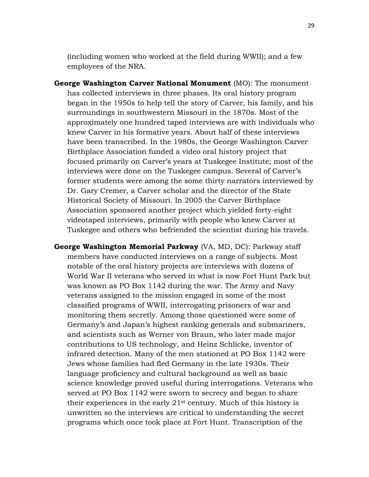(including women who worked at the field during WWII); and a few employees of the NRA.

- **George Washington Carver National Monument** (MO): The monument has collected interviews in three phases. Its oral history program began in the 1950s to help tell the story of Carver, his family, and his surroundings in southwestern Missouri in the 1870s. Most of the approximately one hundred taped interviews are with individuals who knew Carver in his formative years. About half of these interviews have been transcribed. In the 1980s, the George Washington Carver Birthplace Association funded a video oral history project that focused primarily on Carver's years at Tuskegee Institute; most of the interviews were done on the Tuskegee campus. Several of Carver's former students were among the some thirty narrators interviewed by Dr. Gary Cremer, a Carver scholar and the director of the State Historical Society of Missouri. In 2005 the Carver Birthplace Association sponsored another project which yielded forty-eight videotaped interviews, primarily with people who knew Carver at Tuskegee and others who befriended the scientist during his travels*.*
- **George Washington Memorial Parkway** (VA, MD, DC): Parkway staff members have conducted interviews on a range of subjects. Most notable of the oral history projects are interviews with dozens of World War II veterans who served in what is now Fort Hunt Park but was known as PO Box 1142 during the war. The Army and Navy veterans assigned to the mission engaged in some of the most classified programs of WWII, interrogating prisoners of war and monitoring them secretly. Among those questioned were some of Germany's and Japan's highest ranking generals and submariners, and scientists such as Werner von Braun, who later made major contributions to US technology, and Heinz Schlicke, inventor of infrared detection. Many of the men stationed at PO Box 1142 were Jews whose families had fled Germany in the late 1930s. Their language proficiency and cultural background as well as basic science knowledge proved useful during interrogations. Veterans who served at PO Box 1142 were sworn to secrecy and began to share their experiences in the early  $21<sup>st</sup>$  century. Much of this history is unwritten so the interviews are critical to understanding the secret programs which once took place at Fort Hunt. Transcription of the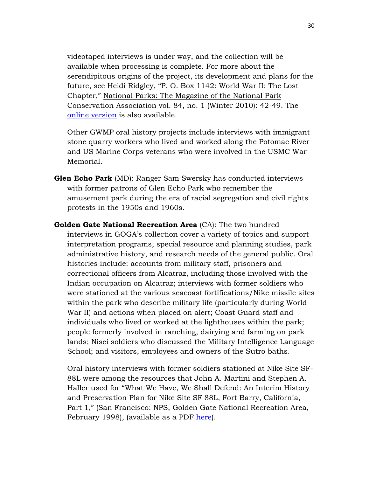videotaped interviews is under way, and the collection will be available when processing is complete. For more about the serendipitous origins of the project, its development and plans for the future, see Heidi Ridgley, "P. O. Box 1142: World War II: The Lost Chapter," National Parks: The Magazine of the National Park Conservation Association vol. 84, no. 1 (Winter 2010): 42-49. The [online version](http://www.npca.org/magazine/2010/winter/po-box-1142.html) is also available.

Other GWMP oral history projects include interviews with immigrant stone quarry workers who lived and worked along the Potomac River and US Marine Corps veterans who were involved in the USMC War Memorial.

- **Glen Echo Park** (MD): Ranger Sam Swersky has conducted interviews with former patrons of Glen Echo Park who remember the amusement park during the era of racial segregation and civil rights protests in the 1950s and 1960s.
- **Golden Gate National Recreation Area** (CA): The two hundred interviews in GOGA's collection cover a variety of topics and support interpretation programs, special resource and planning studies, park administrative history, and research needs of the general public. Oral histories include: accounts from military staff, prisoners and correctional officers from Alcatraz, including those involved with the Indian occupation on Alcatraz; interviews with former soldiers who were stationed at the various seacoast fortifications/Nike missile sites within the park who describe military life (particularly during World War II) and actions when placed on alert; Coast Guard staff and individuals who lived or worked at the lighthouses within the park; people formerly involved in ranching, dairying and farming on park lands; Nisei soldiers who discussed the Military Intelligence Language School; and visitors, employees and owners of the Sutro baths.

Oral history interviews with former soldiers stationed at Nike Site SF-88L were among the resources that John A. Martini and Stephen A. Haller used for "What We Have, We Shall Defend: An Interim History and Preservation Plan for Nike Site SF 88L, Fort Barry, California, Part 1," (San Francisco: NPS, Golden Gate National Recreation Area, February 1998), (available as a PDF [here\)](http://www.nps.gov/goga/learn/historyculture/upload/What%20We%20Have.pdf).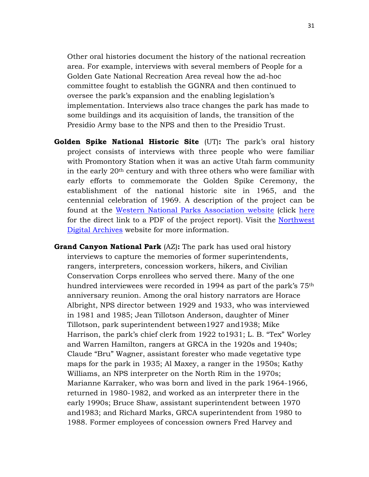Other oral histories document the history of the national recreation area. For example, interviews with several members of People for a Golden Gate National Recreation Area reveal how the ad-hoc committee fought to establish the GGNRA and then continued to oversee the park's expansion and the enabling legislation's implementation. Interviews also trace changes the park has made to some buildings and its acquisition of lands, the transition of the Presidio Army base to the NPS and then to the Presidio Trust.

- **Golden Spike National Historic Site** (UT)**:** The park's oral history project consists of interviews with three people who were familiar with Promontory Station when it was an active Utah farm community in the early 20th century and with three others who were familiar with early efforts to commemorate the Golden Spike Ceremony, the establishment of the national historic site in 1965, and the centennial celebration of 1969. A description of the project can be found at the [Western National Parks Association website](http://store.wnpa.org/research_archives.asp) (click [here](http://store.wnpa.org/research/gosp03-08.pdf) for the direct link to a PDF of the project report). Visit the [Northwest](http://nwda.orbiscascade.org/ark:/80444/xv69232)  [Digital Archives](http://nwda.orbiscascade.org/ark:/80444/xv69232) website for more information.
- **Grand Canyon National Park** (AZ)**:** The park has used oral history interviews to capture the memories of former superintendents, rangers, interpreters, concession workers, hikers, and Civilian Conservation Corps enrollees who served there. Many of the one hundred interviewees were recorded in 1994 as part of the park's 75th anniversary reunion. Among the oral history narrators are Horace Albright, NPS director between 1929 and 1933, who was interviewed in 1981 and 1985; Jean Tillotson Anderson, daughter of Miner Tillotson, park superintendent between1927 and1938; Mike Harrison, the park's chief clerk from 1922 to1931; L. B. "Tex" Worley and Warren Hamilton, rangers at GRCA in the 1920s and 1940s; Claude "Bru" Wagner, assistant forester who made vegetative type maps for the park in 1935; Al Maxey, a ranger in the 1950s; Kathy Williams, an NPS interpreter on the North Rim in the 1970s; Marianne Karraker, who was born and lived in the park 1964-1966, returned in 1980-1982, and worked as an interpreter there in the early 1990s; Bruce Shaw, assistant superintendent between 1970 and1983; and Richard Marks, GRCA superintendent from 1980 to 1988. Former employees of concession owners Fred Harvey and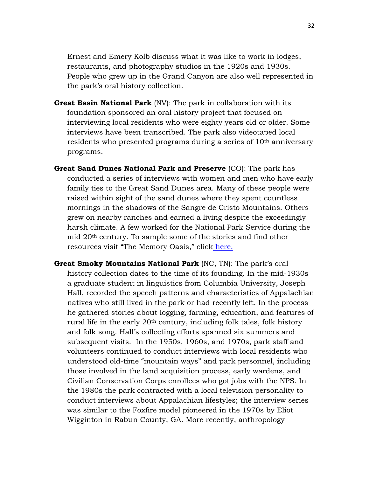Ernest and Emery Kolb discuss what it was like to work in lodges, restaurants, and photography studios in the 1920s and 1930s. People who grew up in the Grand Canyon are also well represented in the park's oral history collection.

- **Great Basin National Park** (NV): The park in collaboration with its foundation sponsored an oral history project that focused on interviewing local residents who were eighty years old or older. Some interviews have been transcribed. The park also videotaped local residents who presented programs during a series of 10<sup>th</sup> anniversary programs.
- **Great Sand Dunes National Park and Preserve** (CO): The park has conducted a series of interviews with women and men who have early family ties to the Great Sand Dunes area. Many of these people were raised within sight of the sand dunes where they spent countless mornings in the shadows of the Sangre de Cristo Mountains. Others grew on nearby ranches and earned a living despite the exceedingly harsh climate. A few worked for the National Park Service during the mid 20th century. To sample some of the stories and find other resources visit "The Memory Oasis," click [here.](http://www.handsontheland.org/grsa/resources/oral_his/oral_main.htm)
- **Great Smoky Mountains National Park** (NC, TN): The park's oral history collection dates to the time of its founding. In the mid-1930s a graduate student in linguistics from Columbia University, Joseph Hall, recorded the speech patterns and characteristics of Appalachian natives who still lived in the park or had recently left. In the process he gathered stories about logging, farming, education, and features of rural life in the early 20th century, including folk tales, folk history and folk song. Hall's collecting efforts spanned six summers and subsequent visits. In the 1950s, 1960s, and 1970s, park staff and volunteers continued to conduct interviews with local residents who understood old-time "mountain ways" and park personnel, including those involved in the land acquisition process, early wardens, and Civilian Conservation Corps enrollees who got jobs with the NPS. In the 1980s the park contracted with a local television personality to conduct interviews about Appalachian lifestyles; the interview series was similar to the Foxfire model pioneered in the 1970s by Eliot Wigginton in Rabun County, GA. More recently, anthropology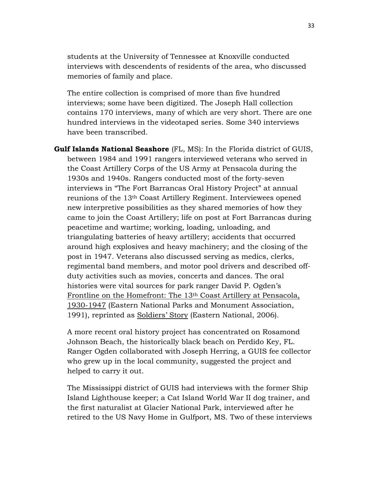students at the University of Tennessee at Knoxville conducted interviews with descendents of residents of the area, who discussed memories of family and place.

The entire collection is comprised of more than five hundred interviews; some have been digitized. The Joseph Hall collection contains 170 interviews, many of which are very short. There are one hundred interviews in the videotaped series. Some 340 interviews have been transcribed.

**Gulf Islands National Seashore** (FL, MS): In the Florida district of GUIS, between 1984 and 1991 rangers interviewed veterans who served in the Coast Artillery Corps of the US Army at Pensacola during the 1930s and 1940s. Rangers conducted most of the forty-seven interviews in "The Fort Barrancas Oral History Project" at annual reunions of the 13th Coast Artillery Regiment. Interviewees opened new interpretive possibilities as they shared memories of how they came to join the Coast Artillery; life on post at Fort Barrancas during peacetime and wartime; working, loading, unloading, and triangulating batteries of heavy artillery; accidents that occurred around high explosives and heavy machinery; and the closing of the post in 1947. Veterans also discussed serving as medics, clerks, regimental band members, and motor pool drivers and described offduty activities such as movies, concerts and dances. The oral histories were vital sources for park ranger David P. Ogden's Frontline on the Homefront: The 13th Coast Artillery at Pensacola, 1930-1947 (Eastern National Parks and Monument Association, 1991), reprinted as Soldiers' Story (Eastern National, 2006).

A more recent oral history project has concentrated on Rosamond Johnson Beach, the historically black beach on Perdido Key, FL. Ranger Ogden collaborated with Joseph Herring, a GUIS fee collector who grew up in the local community, suggested the project and helped to carry it out.

The Mississippi district of GUIS had interviews with the former Ship Island Lighthouse keeper; a Cat Island World War II dog trainer, and the first naturalist at Glacier National Park, interviewed after he retired to the US Navy Home in Gulfport, MS. Two of these interviews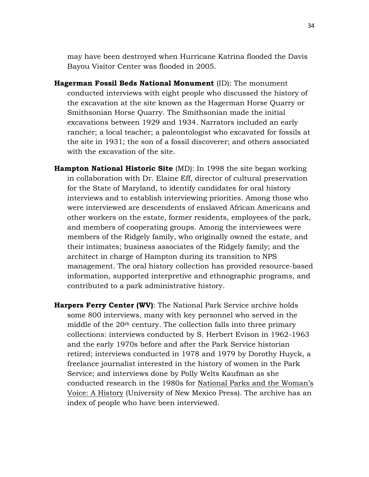may have been destroyed when Hurricane Katrina flooded the Davis Bayou Visitor Center was flooded in 2005.

- **Hagerman Fossil Beds National Monument** (ID): The monument conducted interviews with eight people who discussed the history of the excavation at the site known as the Hagerman Horse Quarry or Smithsonian Horse Quarry. The Smithsonian made the initial excavations between 1929 and 1934. Narrators included an early rancher; a local teacher; a paleontologist who excavated for fossils at the site in 1931; the son of a fossil discoverer; and others associated with the excavation of the site.
- **Hampton National Historic Site** (MD): In 1998 the site began working in collaboration with Dr. Elaine Eff, director of cultural preservation for the State of Maryland, to identify candidates for oral history interviews and to establish interviewing priorities. Among those who were interviewed are descendents of enslaved African Americans and other workers on the estate, former residents, employees of the park, and members of cooperating groups. Among the interviewees were members of the Ridgely family, who originally owned the estate, and their intimates; business associates of the Ridgely family; and the architect in charge of Hampton during its transition to NPS management. The oral history collection has provided resource-based information, supported interpretive and ethnographic programs, and contributed to a park administrative history.
- **Harpers Ferry Center (WV)**: The National Park Service archive holds some 800 interviews, many with key personnel who served in the middle of the 20th century. The collection falls into three primary collections: interviews conducted by S. Herbert Evison in 1962-1963 and the early 1970s before and after the Park Service historian retired; interviews conducted in 1978 and 1979 by Dorothy Huyck, a freelance journalist interested in the history of women in the Park Service; and interviews done by Polly Welts Kaufman as she conducted research in the 1980s for National Parks and the Woman's Voice: A History (University of New Mexico Press). The archive has an index of people who have been interviewed.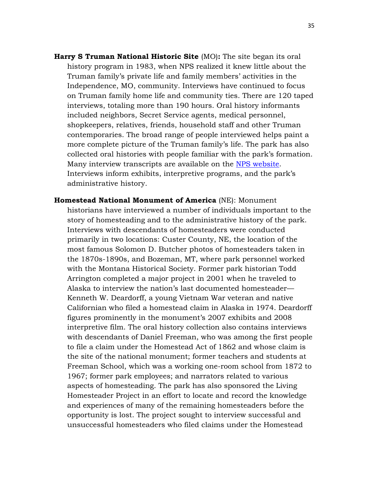**Harry S Truman National Historic Site** (MO)**:** The site began its oral history program in 1983, when NPS realized it knew little about the Truman family's private life and family members' activities in the Independence, MO, community. Interviews have continued to focus on Truman family home life and community ties. There are 120 taped interviews, totaling more than 190 hours. Oral history informants included neighbors, Secret Service agents, medical personnel, shopkeepers, relatives, friends, household staff and other Truman contemporaries. The broad range of people interviewed helps paint a more complete picture of the Truman family's life. The park has also collected oral histories with people familiar with the park's formation. Many interview transcripts are available on the [NPS website.](http://www.nps.gov/hstr/historyculture/people.htm) Interviews inform exhibits, interpretive programs, and the park's administrative history.

**Homestead National Monument of America** (NE): Monument historians have interviewed a number of individuals important to the story of homesteading and to the administrative history of the park. Interviews with descendants of homesteaders were conducted primarily in two locations: Custer County, NE, the location of the most famous Solomon D. Butcher photos of homesteaders taken in the 1870s-1890s, and Bozeman, MT, where park personnel worked with the Montana Historical Society. Former park historian Todd Arrington completed a major project in 2001 when he traveled to Alaska to interview the nation's last documented homesteader— Kenneth W. Deardorff, a young Vietnam War veteran and native Californian who filed a homestead claim in Alaska in 1974. Deardorff figures prominently in the monument's 2007 exhibits and 2008 interpretive film. The oral history collection also contains interviews with descendants of Daniel Freeman, who was among the first people to file a claim under the Homestead Act of 1862 and whose claim is the site of the national monument; former teachers and students at Freeman School, which was a working one-room school from 1872 to 1967; former park employees; and narrators related to various aspects of homesteading. The park has also sponsored the Living Homesteader Project in an effort to locate and record the knowledge and experiences of many of the remaining homesteaders before the opportunity is lost. The project sought to interview successful and unsuccessful homesteaders who filed claims under the Homestead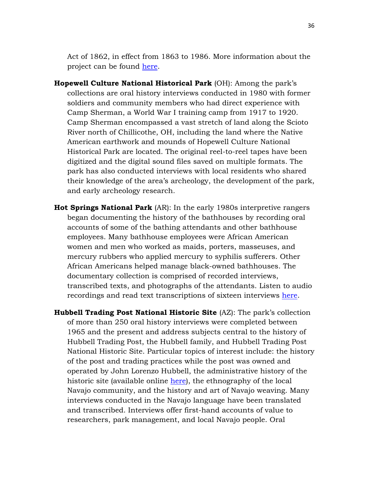Act of 1862, in effect from 1863 to 1986. More information about the project can be found [here.](http://www.nps.gov/home/planyourvisit/share-your-homesteading-story.htm)

- **Hopewell Culture National Historical Park** (OH): Among the park's collections are oral history interviews conducted in 1980 with former soldiers and community members who had direct experience with Camp Sherman, a World War I training camp from 1917 to 1920. Camp Sherman encompassed a vast stretch of land along the Scioto River north of Chillicothe, OH, including the land where the Native American earthwork and mounds of Hopewell Culture National Historical Park are located. The original reel-to-reel tapes have been digitized and the digital sound files saved on multiple formats. The park has also conducted interviews with local residents who shared their knowledge of the area's archeology, the development of the park, and early archeology research*.*
- **Hot Springs National Park** (AR): In the early 1980s interpretive rangers began documenting the history of the bathhouses by recording oral accounts of some of the bathing attendants and other bathhouse employees. Many bathhouse employees were African American women and men who worked as maids, porters, masseuses, and mercury rubbers who applied mercury to syphilis sufferers. Other African Americans helped manage black-owned bathhouses. The documentary collection is comprised of recorded interviews, transcribed texts, and photographs of the attendants. Listen to audio recordings and read text transcriptions of sixteen interviews [here.](http://www.nps.gov/hosp/historyculture/people.htm)

**Hubbell Trading Post National Historic Site** (AZ): The park's collection of more than 250 oral history interviews were completed between 1965 and the present and address subjects central to the history of Hubbell Trading Post, the Hubbell family, and Hubbell Trading Post National Historic Site. Particular topics of interest include: the history of the post and trading practices while the post was owned and operated by John Lorenzo Hubbell, the administrative history of the historic site (available online [here\)](http://www.nps.gov/hutr/learn/historyculture/upload/HUTR_adhi.pdf), the ethnography of the local Navajo community, and the history and art of Navajo weaving. Many interviews conducted in the Navajo language have been translated and transcribed. Interviews offer first-hand accounts of value to researchers, park management, and local Navajo people. Oral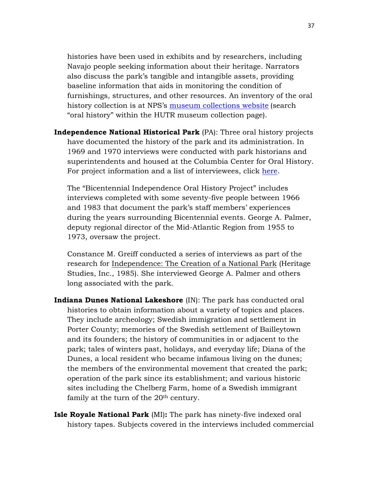histories have been used in exhibits and by researchers, including Navajo people seeking information about their heritage. Narrators also discuss the park's tangible and intangible assets, providing baseline information that aids in monitoring the condition of furnishings, structures, and other resources. An inventory of the oral history collection is at NPS's [museum collections website](http://museum.nps.gov/ParkPagedet.aspx?rID=HUTR%20%20%20%20%20%20%201%26db%3Dobjects%26dir%3DPARKS) (search "oral history" within the HUTR museum collection page).

**Independence National Historical Park** (PA): Three oral history projects have documented the history of the park and its administration. In 1969 and 1970 interviews were conducted with park historians and superintendents and housed at the Columbia Center for Oral History. For project information and a list of interviewees, click [here.](http://oralhistoryportal.cul.columbia.edu/document.php?id=ldpd_4072698)

The "Bicentennial Independence Oral History Project" includes interviews completed with some seventy-five people between 1966 and 1983 that document the park's staff members' experiences during the years surrounding Bicentennial events. George A. Palmer, deputy regional director of the Mid-Atlantic Region from 1955 to 1973, oversaw the project.

Constance M. Greiff conducted a series of interviews as part of the research for Independence: The Creation of a National Park (Heritage Studies, Inc., 1985). She interviewed George A. Palmer and others long associated with the park.

- **Indiana Dunes National Lakeshore** (IN): The park has conducted oral histories to obtain information about a variety of topics and places. They include archeology; Swedish immigration and settlement in Porter County; memories of the Swedish settlement of Bailleytown and its founders; the history of communities in or adjacent to the park; tales of winters past, holidays, and everyday life; Diana of the Dunes, a local resident who became infamous living on the dunes; the members of the environmental movement that created the park; operation of the park since its establishment; and various historic sites including the Chelberg Farm, home of a Swedish immigrant family at the turn of the 20<sup>th</sup> century.
- **Isle Royale National Park** (MI)**:** The park has ninety-five indexed oral history tapes. Subjects covered in the interviews included commercial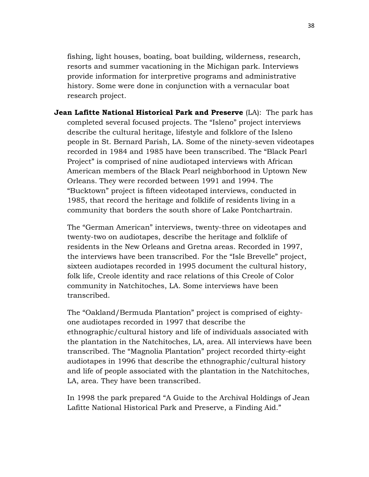fishing, light houses, boating, boat building, wilderness, research, resorts and summer vacationing in the Michigan park. Interviews provide information for interpretive programs and administrative history. Some were done in conjunction with a vernacular boat research project*.* 

**Jean Lafitte National Historical Park and Preserve** (LA): The park has completed several focused projects. The "Isleno" project interviews describe the cultural heritage, lifestyle and folklore of the Isleno people in St. Bernard Parish, LA. Some of the ninety-seven videotapes recorded in 1984 and 1985 have been transcribed. The "Black Pearl Project" is comprised of nine audiotaped interviews with African American members of the Black Pearl neighborhood in Uptown New Orleans. They were recorded between 1991 and 1994. The "Bucktown" project is fifteen videotaped interviews, conducted in 1985, that record the heritage and folklife of residents living in a community that borders the south shore of Lake Pontchartrain.

The "German American" interviews, twenty-three on videotapes and twenty-two on audiotapes, describe the heritage and folklife of residents in the New Orleans and Gretna areas. Recorded in 1997, the interviews have been transcribed. For the "Isle Brevelle" project, sixteen audiotapes recorded in 1995 document the cultural history, folk life, Creole identity and race relations of this Creole of Color community in Natchitoches, LA. Some interviews have been transcribed.

The "Oakland/Bermuda Plantation" project is comprised of eightyone audiotapes recorded in 1997 that describe the ethnographic/cultural history and life of individuals associated with the plantation in the Natchitoches, LA, area. All interviews have been transcribed. The "Magnolia Plantation" project recorded thirty-eight audiotapes in 1996 that describe the ethnographic/cultural history and life of people associated with the plantation in the Natchitoches, LA, area. They have been transcribed.

In 1998 the park prepared "A Guide to the Archival Holdings of Jean Lafitte National Historical Park and Preserve, a Finding Aid."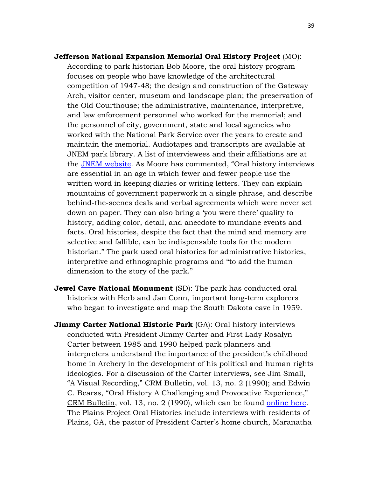- **Jefferson National Expansion Memorial Oral History Project** (MO): According to park historian Bob Moore, the oral history program focuses on people who have knowledge of the architectural competition of 1947-48; the design and construction of the Gateway Arch, visitor center, museum and landscape plan; the preservation of the Old Courthouse; the administrative, maintenance, interpretive, and law enforcement personnel who worked for the memorial; and the personnel of city, government, state and local agencies who worked with the National Park Service over the years to create and maintain the memorial. Audiotapes and transcripts are available at JNEM park library. A list of interviewees and their affiliations are at the [JNEM website.](http://www.nps.gov/jeff/historyculture/oralhistory.htm) As Moore has commented, "Oral history interviews are essential in an age in which fewer and fewer people use the written word in keeping diaries or writing letters. They can explain mountains of government paperwork in a single phrase, and describe behind-the-scenes deals and verbal agreements which were never set down on paper. They can also bring a 'you were there' quality to history, adding color, detail, and anecdote to mundane events and facts. Oral histories, despite the fact that the mind and memory are selective and fallible, can be indispensable tools for the modern historian." The park used oral histories for administrative histories, interpretive and ethnographic programs and "to add the human dimension to the story of the park."
- **Jewel Cave National Monument** (SD): The park has conducted oral histories with Herb and Jan Conn, important long-term explorers who began to investigate and map the South Dakota cave in 1959.
- **Jimmy Carter National Historic Park** (GA): Oral history interviews conducted with President Jimmy Carter and First Lady Rosalyn Carter between 1985 and 1990 helped park planners and interpreters understand the importance of the president's childhood home in Archery in the development of his political and human rights ideologies. For a discussion of the Carter interviews, see Jim Small, "A Visual Recording," CRM Bulletin, vol. 13, no. 2 (1990); and Edwin C. Bearss, "Oral History A Challenging and Provocative Experience," CRM Bulletin, vol. 13, no. 2 (1990), which can be found [online here.](http://npshistory.com/newsletters/crm/bulletin-v13n2.pdf) The Plains Project Oral Histories include interviews with residents of Plains, GA, the pastor of President Carter's home church, Maranatha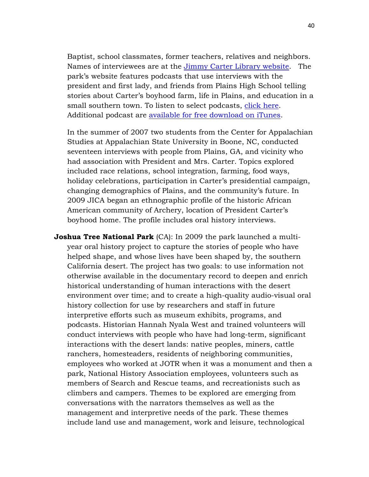Baptist, school classmates, former teachers, relatives and neighbors. Names of interviewees are at the [Jimmy Carter Library website.](http://www.jimmycarterlibrary.gov/library/oralhist.phtml#park) The park's website features podcasts that use interviews with the president and first lady, and friends from Plains High School telling stories about Carter's boyhood farm, life in Plains, and education in a small southern town. To listen to select podcasts, [click here.](http://www.nps.gov/jica/learn/photosmultimedia/index.htm) Additional podcast are [available for free download on iTunes.](https://itunes.apple.com/us/itunes-u/jimmy-carter-national-historic/id679822877?mt=10)

In the summer of 2007 two students from the Center for Appalachian Studies at Appalachian State University in Boone, NC, conducted seventeen interviews with people from Plains, GA, and vicinity who had association with President and Mrs. Carter. Topics explored included race relations, school integration, farming, food ways, holiday celebrations, participation in Carter's presidential campaign, changing demographics of Plains, and the community's future. In 2009 JICA began an ethnographic profile of the historic African American community of Archery, location of President Carter's boyhood home. The profile includes oral history interviews.

**Joshua Tree National Park** (CA): In 2009 the park launched a multiyear oral history project to capture the stories of people who have helped shape, and whose lives have been shaped by, the southern California desert. The project has two goals: to use information not otherwise available in the documentary record to deepen and enrich historical understanding of human interactions with the desert environment over time; and to create a high-quality audio-visual oral history collection for use by researchers and staff in future interpretive efforts such as museum exhibits, programs, and podcasts. Historian Hannah Nyala West and trained volunteers will conduct interviews with people who have had long-term, significant interactions with the desert lands: native peoples, miners, cattle ranchers, homesteaders, residents of neighboring communities, employees who worked at JOTR when it was a monument and then a park, National History Association employees, volunteers such as members of Search and Rescue teams, and recreationists such as climbers and campers. Themes to be explored are emerging from conversations with the narrators themselves as well as the management and interpretive needs of the park. These themes include land use and management, work and leisure, technological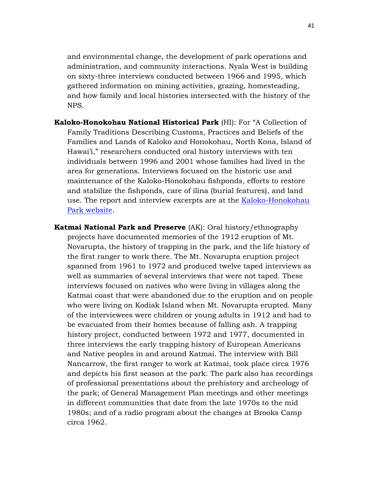and environmental change, the development of park operations and administration, and community interactions. Nyala West is building on sixty-three interviews conducted between 1966 and 1995, which gathered information on mining activities, grazing, homesteading, and how family and local histories intersected with the history of the NPS.

- **Kaloko-Honokohau National Historical Park** (HI): For "A Collection of Family Traditions Describing Customs, Practices and Beliefs of the Families and Lands of Kaloko and Honokohau, North Kona, Island of Hawai'i," researchers conducted oral history interviews with ten individuals between 1996 and 2001 whose families had lived in the area for generations. Interviews focused on the historic use and maintenance of the Kaloko-Honokohau fishponds, efforts to restore and stabilize the fishponds, care of ilina (burial features), and land use. The report and interview excerpts are at the [Kaloko-Honokohau](http://www.nps.gov/kaho/parkmgmt/upload/oral%20history.pdf)  [Park website.](http://www.nps.gov/kaho/parkmgmt/upload/oral%20history.pdf)
- **Katmai National Park and Preserve** (AK): Oral history/ethnography projects have documented memories of the 1912 eruption of Mt. Novarupta, the history of trapping in the park, and the life history of the first ranger to work there. The Mt. Novarupta eruption project spanned from 1961 to 1972 and produced twelve taped interviews as well as summaries of several interviews that were not taped. These interviews focused on natives who were living in villages along the Katmai coast that were abandoned due to the eruption and on people who were living on Kodiak Island when Mt. Novarupta erupted. Many of the interviewees were children or young adults in 1912 and had to be evacuated from their homes because of falling ash. A trapping history project, conducted between 1972 and 1977, documented in three interviews the early trapping history of European Americans and Native peoples in and around Katmai. The interview with Bill Nancarrow, the first ranger to work at Katmai, took place circa 1976 and depicts his first season at the park. The park also has recordings of professional presentations about the prehistory and archeology of the park; of General Management Plan meetings and other meetings in different communities that date from the late 1970s to the mid 1980s; and of a radio program about the changes at Brooks Camp circa 1962.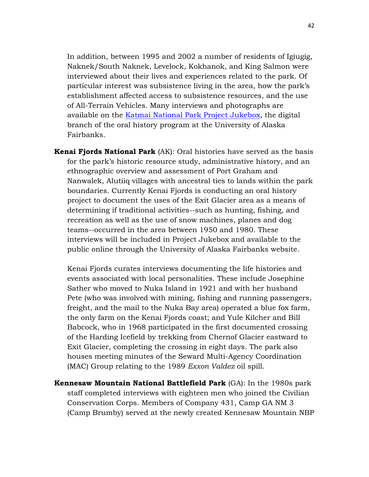In addition, between 1995 and 2002 a number of residents of Igiugig, Naknek/South Naknek, Levelock, Kokhanok, and King Salmon were interviewed about their lives and experiences related to the park. Of particular interest was subsistence living in the area, how the park's establishment affected access to subsistence resources, and the use of All-Terrain Vehicles. Many interviews and photographs are available on the [Katmai National Park Project Jukebox,](http://jukebox.uaf.edu/Katmai/index.htm) the digital branch of the oral history program at the University of Alaska Fairbanks.

**Kenai Fjords National Park** (AK): Oral histories have served as the basis for the park's historic resource study, administrative history, and an ethnographic overview and assessment of Port Graham and Nanwalek, Alutiiq villages with ancestral ties to lands within the park boundaries. Currently Kenai Fjords is conducting an oral history project to document the uses of the Exit Glacier area as a means of determining if traditional activities--such as hunting, fishing, and recreation as well as the use of snow machines, planes and dog teams--occurred in the area between 1950 and 1980. These interviews will be included in Project Jukebox and available to the public online through the University of Alaska Fairbanks website.

Kenai Fjords curates interviews documenting the life histories and events associated with local personalities. These include Josephine Sather who moved to Nuka Island in 1921 and with her husband Pete (who was involved with mining, fishing and running passengers, freight, and the mail to the Nuka Bay area) operated a blue fox farm, the only farm on the Kenai Fjords coast; and Yule Kilcher and Bill Babcock, who in 1968 participated in the first documented crossing of the Harding Icefield by trekking from Chernof Glacier eastward to Exit Glacier, completing the crossing in eight days. The park also houses meeting minutes of the Seward Multi-Agency Coordination (MAC) Group relating to the 1989 *Exxon Valdez* oil spill.

**Kennesaw Mountain National Battlefield Park** (GA): In the 1980s park staff completed interviews with eighteen men who joined the Civilian Conservation Corps. Members of Company 431, Camp GA NM 3 (Camp Brumby) served at the newly created Kennesaw Mountain NBP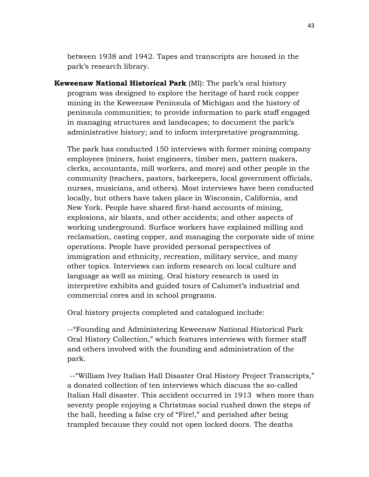between 1938 and 1942. Tapes and transcripts are housed in the park's research library.

**Keweenaw National Historical Park** (MI): The park's oral history program was designed to explore the heritage of hard rock copper mining in the Keweenaw Peninsula of Michigan and the history of peninsula communities; to provide information to park staff engaged in managing structures and landscapes; to document the park's administrative history; and to inform interpretative programming.

The park has conducted 150 interviews with former mining company employees (miners, hoist engineers, timber men, pattern makers, clerks, accountants, mill workers, and more) and other people in the community (teachers, pastors, barkeepers, local government officials, nurses, musicians, and others). Most interviews have been conducted locally, but others have taken place in Wisconsin, California, and New York. People have shared first-hand accounts of mining, explosions, air blasts, and other accidents; and other aspects of working underground. Surface workers have explained milling and reclamation, casting copper, and managing the corporate side of mine operations. People have provided personal perspectives of immigration and ethnicity, recreation, military service, and many other topics. Interviews can inform research on local culture and language as well as mining. Oral history research is used in interpretive exhibits and guided tours of Calumet's industrial and commercial cores and in school programs.

Oral history projects completed and catalogued include:

--"Founding and Administering Keweenaw National Historical Park Oral History Collection," which features interviews with former staff and others involved with the founding and administration of the park.

--"William Ivey Italian Hall Disaster Oral History Project Transcripts," a donated collection of ten interviews which discuss the so-called Italian Hall disaster. This accident occurred in 1913 when more than seventy people enjoying a Christmas social rushed down the steps of the hall, heeding a false cry of "Fire!," and perished after being trampled because they could not open locked doors. The deaths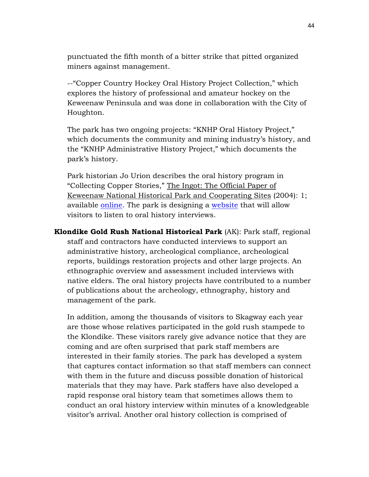punctuated the fifth month of a bitter strike that pitted organized miners against management.

--"Copper Country Hockey Oral History Project Collection," which explores the history of professional and amateur hockey on the Keweenaw Peninsula and was done in collaboration with the City of Houghton.

The park has two ongoing projects: "KNHP Oral History Project," which documents the community and mining industry's history, and the "KNHP Administrative History Project," which documents the park's history.

Park historian Jo Urion describes the oral history program in "Collecting Copper Stories," The Ingot: The Official Paper of Keweenaw National Historical Park and Cooperating Sites (2004): 1; available [online.](http://www.nps.gov/kewe/parknews/upload/INGOT_2004_revised.pdf) The park is designing a [website](http://www.nps.gov/kewe/historyculture/keweenaw-voices.htm) that will allow visitors to listen to oral history interviews.

**Klondike Gold Rush National Historical Park** (AK): Park staff, regional staff and contractors have conducted interviews to support an administrative history, archeological compliance, archeological reports, buildings restoration projects and other large projects. An ethnographic overview and assessment included interviews with native elders. The oral history projects have contributed to a number of publications about the archeology, ethnography, history and management of the park.

In addition, among the thousands of visitors to Skagway each year are those whose relatives participated in the gold rush stampede to the Klondike. These visitors rarely give advance notice that they are coming and are often surprised that park staff members are interested in their family stories. The park has developed a system that captures contact information so that staff members can connect with them in the future and discuss possible donation of historical materials that they may have. Park staffers have also developed a rapid response oral history team that sometimes allows them to conduct an oral history interview within minutes of a knowledgeable visitor's arrival. Another oral history collection is comprised of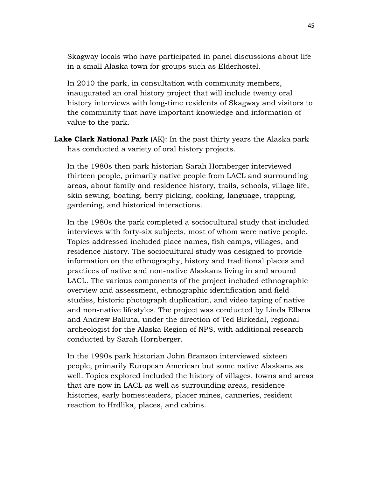Skagway locals who have participated in panel discussions about life in a small Alaska town for groups such as Elderhostel.

In 2010 the park, in consultation with community members, inaugurated an oral history project that will include twenty oral history interviews with long-time residents of Skagway and visitors to the community that have important knowledge and information of value to the park.

**Lake Clark National Park** (AK): In the past thirty years the Alaska park has conducted a variety of oral history projects.

In the 1980s then park historian Sarah Hornberger interviewed thirteen people, primarily native people from LACL and surrounding areas, about family and residence history, trails, schools, village life, skin sewing, boating, berry picking, cooking, language, trapping, gardening, and historical interactions.

In the 1980s the park completed a sociocultural study that included interviews with forty-six subjects, most of whom were native people. Topics addressed included place names, fish camps, villages, and residence history. The sociocultural study was designed to provide information on the ethnography, history and traditional places and practices of native and non-native Alaskans living in and around LACL. The various components of the project included ethnographic overview and assessment, ethnographic identification and field studies, historic photograph duplication, and video taping of native and non-native lifestyles. The project was conducted by Linda Ellana and Andrew Balluta, under the direction of Ted Birkedal, regional archeologist for the Alaska Region of NPS, with additional research conducted by Sarah Hornberger.

In the 1990s park historian John Branson interviewed sixteen people, primarily European American but some native Alaskans as well. Topics explored included the history of villages, towns and areas that are now in LACL as well as surrounding areas, residence histories, early homesteaders, placer mines, canneries, resident reaction to Hrdlika, places, and cabins.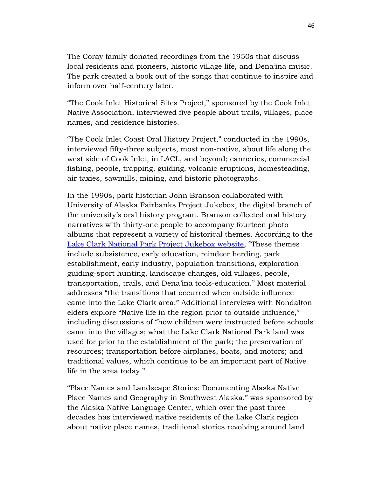The Coray family donated recordings from the 1950s that discuss local residents and pioneers, historic village life, and Dena'ina music. The park created a book out of the songs that continue to inspire and inform over half-century later.

"The Cook Inlet Historical Sites Project," sponsored by the Cook Inlet Native Association, interviewed five people about trails, villages, place names, and residence histories.

"The Cook Inlet Coast Oral History Project," conducted in the 1990s, interviewed fifty-three subjects, most non-native, about life along the west side of Cook Inlet, in LACL, and beyond; canneries, commercial fishing, people, trapping, guiding, volcanic eruptions, homesteading, air taxies, sawmills, mining, and historic photographs.

In the 1990s, park historian John Branson collaborated with University of Alaska Fairbanks Project Jukebox, the digital branch of the university's oral history program. Branson collected oral history narratives with thirty-one people to accompany fourteen photo albums that represent a variety of historical themes. According to the [Lake Clark National Park Project Jukebox website,](http://jukebox.uaf.edu/lakeclark/home.html) "These themes include subsistence, early education, reindeer herding, park establishment, early industry, population transitions, explorationguiding-sport hunting, landscape changes, old villages, people, transportation, trails, and Dena'ina tools-education." Most material addresses "the transitions that occurred when outside influence came into the Lake Clark area." Additional interviews with Nondalton elders explore "Native life in the region prior to outside influence," including discussions of "how children were instructed before schools came into the villages; what the Lake Clark National Park land was used for prior to the establishment of the park; the preservation of resources; transportation before airplanes, boats, and motors; and traditional values, which continue to be an important part of Native life in the area today."

"Place Names and Landscape Stories: Documenting Alaska Native Place Names and Geography in Southwest Alaska," was sponsored by the Alaska Native Language Center, which over the past three decades has interviewed native residents of the Lake Clark region about native place names, traditional stories revolving around land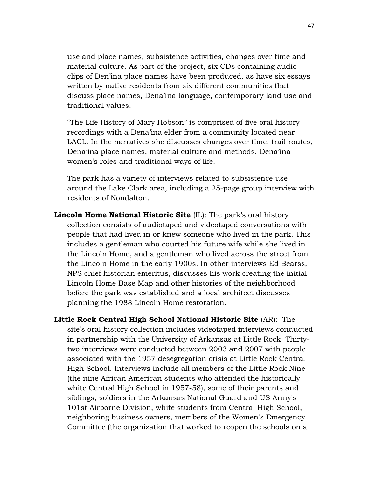use and place names, subsistence activities, changes over time and material culture. As part of the project, six CDs containing audio clips of Den'ina place names have been produced, as have six essays written by native residents from six different communities that discuss place names, Dena'ina language, contemporary land use and traditional values.

"The Life History of Mary Hobson" is comprised of five oral history recordings with a Dena'ina elder from a community located near LACL. In the narratives she discusses changes over time, trail routes, Dena'ina place names, material culture and methods, Dena'ina women's roles and traditional ways of life.

The park has a variety of interviews related to subsistence use around the Lake Clark area, including a 25-page group interview with residents of Nondalton.

- **Lincoln Home National Historic Site** (IL): The park's oral history collection consists of audiotaped and videotaped conversations with people that had lived in or knew someone who lived in the park. This includes a gentleman who courted his future wife while she lived in the Lincoln Home, and a gentleman who lived across the street from the Lincoln Home in the early 1900s. In other interviews Ed Bearss, NPS chief historian emeritus, discusses his work creating the initial Lincoln Home Base Map and other histories of the neighborhood before the park was established and a local architect discusses planning the 1988 Lincoln Home restoration.
- **Little Rock Central High School National Historic Site** (AR): The site's oral history collection includes videotaped interviews conducted in partnership with the University of Arkansas at Little Rock. Thirtytwo interviews were conducted between 2003 and 2007 with people associated with the 1957 desegregation crisis at Little Rock Central High School. Interviews include all members of the Little Rock Nine (the nine African American students who attended the historically white Central High School in 1957-58), some of their parents and siblings, soldiers in the Arkansas National Guard and US Army's 101st Airborne Division, white students from Central High School, neighboring business owners, members of the Women's Emergency Committee (the organization that worked to reopen the schools on a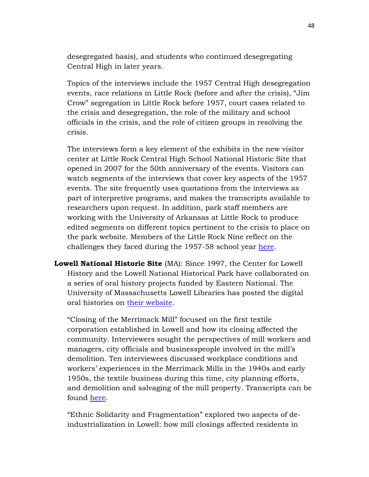desegregated basis), and students who continued desegregating Central High in later years.

Topics of the interviews include the 1957 Central High desegregation events, race relations in Little Rock (before and after the crisis), "Jim Crow" segregation in Little Rock before 1957, court cases related to the crisis and desegregation, the role of the military and school officials in the crisis, and the role of citizen groups in resolving the crisis.

The interviews form a key element of the exhibits in the new visitor center at Little Rock Central High School National Historic Site that opened in 2007 for the 50th anniversary of the events. Visitors can watch segments of the interviews that cover key aspects of the 1957 events. The site frequently uses quotations from the interviews as part of interpretive programs, and makes the transcripts available to researchers upon request. In addition, park staff members are working with the University of Arkansas at Little Rock to produce edited segments on different topics pertinent to the crisis to place on the park website. Members of the Little Rock Nine reflect on the challenges they faced during the 1957-58 school year [here.](http://www.nps.gov/chsc/historyculture/oral-history.htm)

**Lowell National Historic Site** (MA): Since 1997, the Center for Lowell History and the Lowell National Historical Park have collaborated on a series of oral history projects funded by Eastern National. The University of Massachusetts Lowell Libraries has posted the digital oral histories on [their website.](http://library.uml.edu/clh/OH/OrHist.htm)

"Closing of the Merrimack Mill" focused on the first textile corporation established in Lowell and how its closing affected the community. Interviewers sought the perspectives of mill workers and managers, city officials and businesspeople involved in the mill's demolition. Ten interviewees discussed workplace conditions and workers' experiences in the Merrimack Mills in the 1940s and early 1950s, the textile business during this time, city planning efforts, and demolition and salvaging of the mill property. Transcripts can be found [here.](http://library.uml.edu/clh/OH/EAST/OH04a.htm)

"Ethnic Solidarity and Fragmentation" explored two aspects of deindustrialization in Lowell: how mill closings affected residents in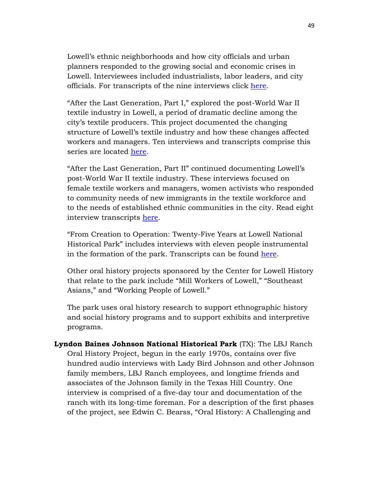Lowell's ethnic neighborhoods and how city officials and urban planners responded to the growing social and economic crises in Lowell. Interviewees included industrialists, labor leaders, and city officials. For transcripts of the nine interviews click [here.](http://library.uml.edu/clh/OH/EAST/OH05a.htm)

"After the Last Generation, Part I," explored the post-World War II textile industry in Lowell, a period of dramatic decline among the city's textile producers. This project documented the changing structure of Lowell's textile industry and how these changes affected workers and managers. Ten interviews and transcripts comprise this series are located [here.](http://library.uml.edu/clh/OH/EAST/OH06a.htm)

"After the Last Generation, Part II" continued documenting Lowell's post-World War II textile industry. These interviews focused on female textile workers and managers, women activists who responded to community needs of new immigrants in the textile workforce and to the needs of established ethnic communities in the city. Read eight interview transcripts [here.](http://library.uml.edu/clh/OH/EAST/OH07a.htm)

"From Creation to Operation: Twenty-Five Years at Lowell National Historical Park" includes interviews with eleven people instrumental in the formation of the park. Transcripts can be found [here.](http://library.uml.edu/clh/OH/EAST/OH08a.htm)

Other oral history projects sponsored by the Center for Lowell History that relate to the park include "Mill Workers of Lowell," "Southeast Asians," and "Working People of Lowell."

The park uses oral history research to support ethnographic history and social history programs and to support exhibits and interpretive programs.

**Lyndon Baines Johnson National Historical Park** (TX): The LBJ Ranch Oral History Project, begun in the early 1970s, contains over five hundred audio interviews with Lady Bird Johnson and other Johnson family members, LBJ Ranch employees, and longtime friends and associates of the Johnson family in the Texas Hill Country. One interview is comprised of a five-day tour and documentation of the ranch with its long-time foreman. For a description of the first phases of the project, see Edwin C. Bearss, "Oral History: A Challenging and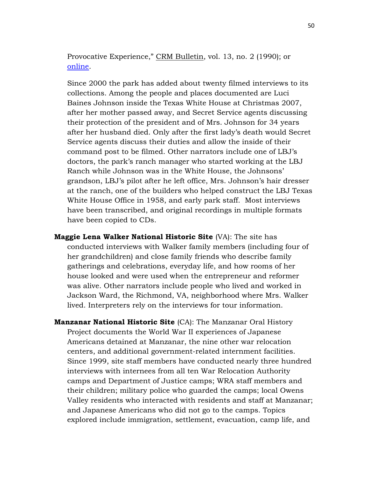Provocative Experience," CRM Bulletin, vol. 13, no. 2 (1990); or [online.](http://npshistory.com/newsletters/crm/bulletin-v13n2.pdf)

Since 2000 the park has added about twenty filmed interviews to its collections. Among the people and places documented are Luci Baines Johnson inside the Texas White House at Christmas 2007, after her mother passed away, and Secret Service agents discussing their protection of the president and of Mrs. Johnson for 34 years after her husband died. Only after the first lady's death would Secret Service agents discuss their duties and allow the inside of their command post to be filmed. Other narrators include one of LBJ's doctors, the park's ranch manager who started working at the LBJ Ranch while Johnson was in the White House, the Johnsons' grandson, LBJ's pilot after he left office, Mrs. Johnson's hair dresser at the ranch, one of the builders who helped construct the LBJ Texas White House Office in 1958, and early park staff. Most interviews have been transcribed, and original recordings in multiple formats have been copied to CDs.

**Maggie Lena Walker National Historic Site** (VA): The site has conducted interviews with Walker family members (including four of her grandchildren) and close family friends who describe family gatherings and celebrations, everyday life, and how rooms of her house looked and were used when the entrepreneur and reformer was alive. Other narrators include people who lived and worked in Jackson Ward, the Richmond, VA, neighborhood where Mrs. Walker lived. Interpreters rely on the interviews for tour information.

**Manzanar National Historic Site** (CA): The Manzanar Oral History Project documents the World War II experiences of Japanese Americans detained at Manzanar, the nine other war relocation centers, and additional government-related internment facilities. Since 1999, site staff members have conducted nearly three hundred interviews with internees from all ten War Relocation Authority camps and Department of Justice camps; WRA staff members and their children; military police who guarded the camps; local Owens Valley residents who interacted with residents and staff at Manzanar; and Japanese Americans who did not go to the camps. Topics explored include immigration, settlement, evacuation, camp life, and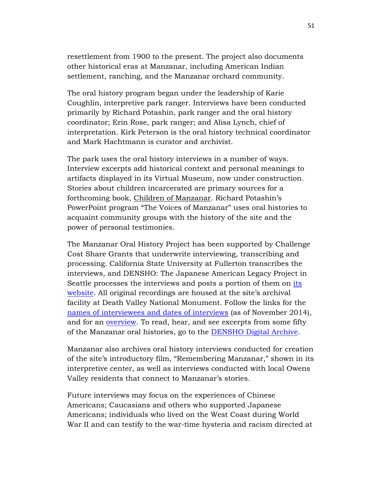resettlement from 1900 to the present. The project also documents other historical eras at Manzanar, including American Indian settlement, ranching, and the Manzanar orchard community.

The oral history program began under the leadership of Karie Coughlin, interpretive park ranger. Interviews have been conducted primarily by Richard Potashin, park ranger and the oral history coordinator; Erin Rose, park ranger; and Alisa Lynch, chief of interpretation. Kirk Peterson is the oral history technical coordinator and Mark Hachtmann is curator and archivist.

The park uses the oral history interviews in a number of ways. Interview excerpts add historical context and personal meanings to artifacts displayed in its Virtual Museum, now under construction. Stories about children incarcerated are primary sources for a forthcoming book, Children of Manzanar. Richard Potashin's PowerPoint program "The Voices of Manzanar" uses oral histories to acquaint community groups with the history of the site and the power of personal testimonies.

The Manzanar Oral History Project has been supported by Challenge Cost Share Grants that underwrite interviewing, transcribing and processing. California State University at Fullerton transcribes the interviews, and DENSHO: The Japanese American Legacy Project in Seattle processes the interviews and posts a portion of them on [its](http://www.densho.org/)  [website.](http://www.densho.org/) All original recordings are housed at the site's archival facility at Death Valley National Monument. Follow the links for the [names of interviewees and dates of interviews](http://www.nps.gov/manz/learn/historyculture/upload/2014-10-20-OH-Inventory.pdf) (as of November 2014), and for an [overview.](http://www.nps.gov/manz/historyculture/stories.htm) To read, hear, and see excerpts from some fifty of the Manzanar oral histories, go to the [DENSHO Digital Archive.](http://archive.densho.org/main.aspx)

Manzanar also archives oral history interviews conducted for creation of the site's introductory film, "Remembering Manzanar," shown in its interpretive center, as well as interviews conducted with local Owens Valley residents that connect to Manzanar's stories.

Future interviews may focus on the experiences of Chinese Americans; Caucasians and others who supported Japanese Americans; individuals who lived on the West Coast during World War II and can testify to the war-time hysteria and racism directed at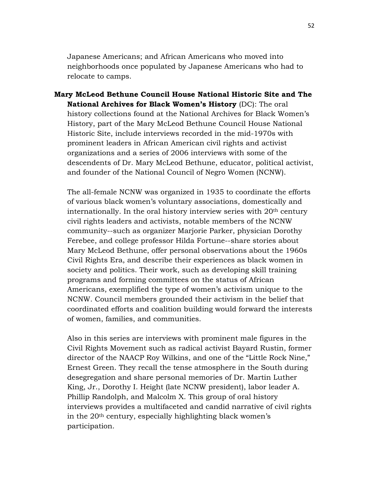Japanese Americans; and African Americans who moved into neighborhoods once populated by Japanese Americans who had to relocate to camps.

**Mary McLeod Bethune Council House National Historic Site and The National Archives for Black Women's History** (DC): The oral history collections found at the National Archives for Black Women's History, part of the Mary McLeod Bethune Council House National Historic Site, include interviews recorded in the mid-1970s with prominent leaders in African American civil rights and activist organizations and a series of 2006 interviews with some of the descendents of Dr. Mary McLeod Bethune, educator, political activist, and founder of the National Council of Negro Women (NCNW).

The all-female NCNW was organized in 1935 to coordinate the efforts of various black women's voluntary associations, domestically and internationally. In the oral history interview series with 20<sup>th</sup> century civil rights leaders and activists, notable members of the NCNW community--such as organizer Marjorie Parker, physician Dorothy Ferebee, and college professor Hilda Fortune--share stories about Mary McLeod Bethune, offer personal observations about the 1960s Civil Rights Era, and describe their experiences as black women in society and politics. Their work, such as developing skill training programs and forming committees on the status of African Americans, exemplified the type of women's activism unique to the NCNW. Council members grounded their activism in the belief that coordinated efforts and coalition building would forward the interests of women, families, and communities.

Also in this series are interviews with prominent male figures in the Civil Rights Movement such as radical activist Bayard Rustin, former director of the NAACP Roy Wilkins, and one of the "Little Rock Nine," Ernest Green. They recall the tense atmosphere in the South during desegregation and share personal memories of Dr. Martin Luther King, Jr., Dorothy I. Height (late NCNW president), labor leader A. Phillip Randolph, and Malcolm X. This group of oral history interviews provides a multifaceted and candid narrative of civil rights in the 20th century, especially highlighting black women's participation.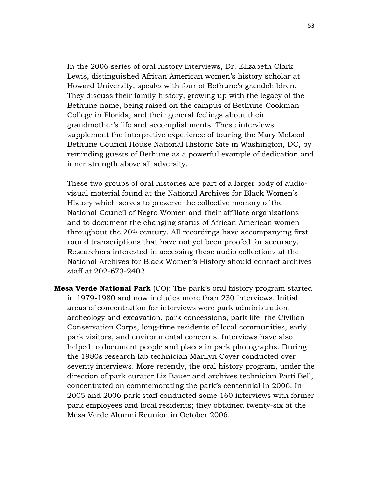In the 2006 series of oral history interviews, Dr. Elizabeth Clark Lewis, distinguished African American women's history scholar at Howard University, speaks with four of Bethune's grandchildren. They discuss their family history, growing up with the legacy of the Bethune name, being raised on the campus of Bethune-Cookman College in Florida, and their general feelings about their grandmother's life and accomplishments. These interviews supplement the interpretive experience of touring the Mary McLeod Bethune Council House National Historic Site in Washington, DC, by reminding guests of Bethune as a powerful example of dedication and inner strength above all adversity.

These two groups of oral histories are part of a larger body of audiovisual material found at the National Archives for Black Women's History which serves to preserve the collective memory of the National Council of Negro Women and their affiliate organizations and to document the changing status of African American women throughout the 20th century. All recordings have accompanying first round transcriptions that have not yet been proofed for accuracy. Researchers interested in accessing these audio collections at the National Archives for Black Women's History should contact archives staff at 202-673-2402.

**Mesa Verde National Park** (CO): The park's oral history program started in 1979-1980 and now includes more than 230 interviews. Initial areas of concentration for interviews were park administration, archeology and excavation, park concessions, park life, the Civilian Conservation Corps, long-time residents of local communities, early park visitors, and environmental concerns. Interviews have also helped to document people and places in park photographs. During the 1980s research lab technician Marilyn Coyer conducted over seventy interviews. More recently, the oral history program, under the direction of park curator Liz Bauer and archives technician Patti Bell, concentrated on commemorating the park's centennial in 2006. In 2005 and 2006 park staff conducted some 160 interviews with former park employees and local residents; they obtained twenty-six at the Mesa Verde Alumni Reunion in October 2006.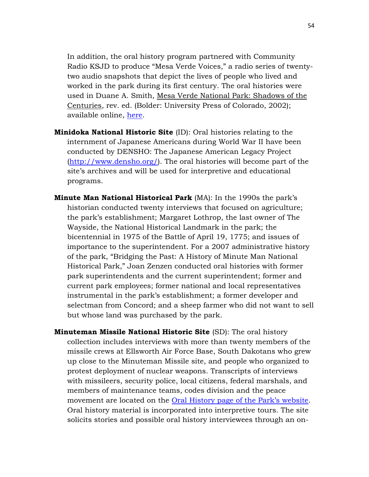In addition, the oral history program partnered with Community Radio KSJD to produce "Mesa Verde Voices," a radio series of twentytwo audio snapshots that depict the lives of people who lived and worked in the park during its first century. The oral histories were used in Duane A. Smith, Mesa Verde National Park: Shadows of the Centuries, rev. ed. (Bolder: University Press of Colorado, 2002); available online, [here.](http://www.nps.gov/parkhistory/online_books/smith/contents.htm)

- **Minidoka National Historic Site** (ID): Oral histories relating to the internment of Japanese Americans during World War II have been conducted by DENSHO: The Japanese American Legacy Project [\(http://www.densho.org/\)](http://www.densho.org/). The oral histories will become part of the site's archives and will be used for interpretive and educational programs.
- **Minute Man National Historical Park** (MA): In the 1990s the park's historian conducted twenty interviews that focused on agriculture; the park's establishment; Margaret Lothrop, the last owner of The Wayside, the National Historical Landmark in the park; the bicentennial in 1975 of the Battle of April 19, 1775; and issues of importance to the superintendent. For a 2007 administrative history of the park, "Bridging the Past: A History of Minute Man National Historical Park," Joan Zenzen conducted oral histories with former park superintendents and the current superintendent; former and current park employees; former national and local representatives instrumental in the park's establishment; a former developer and selectman from Concord; and a sheep farmer who did not want to sell but whose land was purchased by the park.
- **Minuteman Missile National Historic Site** (SD): The oral history collection includes interviews with more than twenty members of the missile crews at Ellsworth Air Force Base, South Dakotans who grew up close to the Minuteman Missile site, and people who organized to protest deployment of nuclear weapons. Transcripts of interviews with missileers, security police, local citizens, federal marshals, and members of maintenance teams, codes division and the peace movement are located on the <u>Oral History page of the Park's website</u>. Oral history material is incorporated into interpretive tours. The site solicits stories and possible oral history interviewees through an on-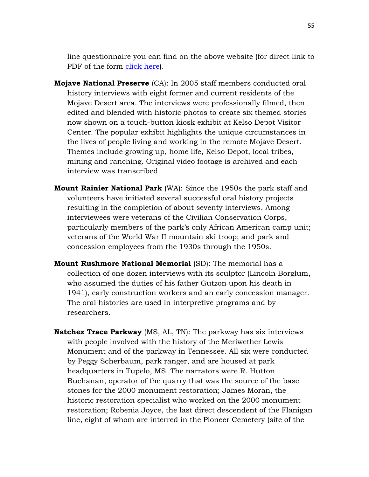line questionnaire you can find on the above website (for direct link to PDF of the form [click here\)](http://www.nps.gov/mimi/learn/historyculture/upload/Oral-History-Data-SheetNew.pdf).

- **Mojave National Preserve** (CA): In 2005 staff members conducted oral history interviews with eight former and current residents of the Mojave Desert area. The interviews were professionally filmed, then edited and blended with historic photos to create six themed stories now shown on a touch-button kiosk exhibit at Kelso Depot Visitor Center. The popular exhibit highlights the unique circumstances in the lives of people living and working in the remote Mojave Desert. Themes include growing up, home life, Kelso Depot, local tribes, mining and ranching. Original video footage is archived and each interview was transcribed.
- **Mount Rainier National Park** (WA): Since the 1950s the park staff and volunteers have initiated several successful oral history projects resulting in the completion of about seventy interviews. Among interviewees were veterans of the Civilian Conservation Corps, particularly members of the park's only African American camp unit; veterans of the World War II mountain ski troop; and park and concession employees from the 1930s through the 1950s.
- **Mount Rushmore National Memorial** (SD): The memorial has a collection of one dozen interviews with its sculptor (Lincoln Borglum, who assumed the duties of his father Gutzon upon his death in 1941), early construction workers and an early concession manager. The oral histories are used in interpretive programs and by researchers.
- **Natchez Trace Parkway** (MS, AL, TN): The parkway has six interviews with people involved with the history of the Meriwether Lewis Monument and of the parkway in Tennessee. All six were conducted by Peggy Scherbaum, park ranger, and are housed at park headquarters in Tupelo, MS. The narrators were R. Hutton Buchanan, operator of the quarry that was the source of the base stones for the 2000 monument restoration; James Moran, the historic restoration specialist who worked on the 2000 monument restoration; Robenia Joyce, the last direct descendent of the Flanigan line, eight of whom are interred in the Pioneer Cemetery (site of the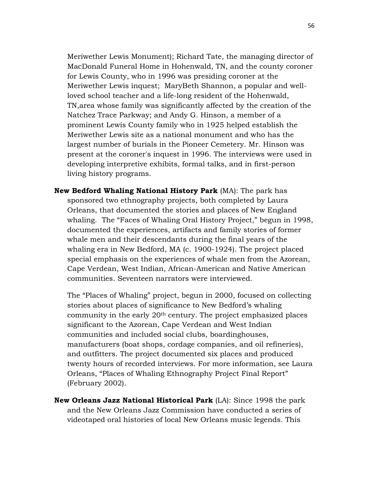Meriwether Lewis Monument); Richard Tate, the managing director of MacDonald Funeral Home in Hohenwald, TN, and the county coroner for Lewis County, who in 1996 was presiding coroner at the Meriwether Lewis inquest; MaryBeth Shannon, a popular and wellloved school teacher and a life-long resident of the Hohenwald, TN,area whose family was significantly affected by the creation of the Natchez Trace Parkway; and Andy G. Hinson, a member of a prominent Lewis County family who in 1925 helped establish the Meriwether Lewis site as a national monument and who has the largest number of burials in the Pioneer Cemetery. Mr. Hinson was present at the coroner's inquest in 1996. The interviews were used in developing interpretive exhibits, formal talks, and in first-person living history programs.

**New Bedford Whaling National History Park** (MA): The park has sponsored two ethnography projects, both completed by Laura Orleans, that documented the stories and places of New England whaling. The "Faces of Whaling Oral History Project," begun in 1998, documented the experiences, artifacts and family stories of former whale men and their descendants during the final years of the whaling era in New Bedford, MA (c. 1900-1924). The project placed special emphasis on the experiences of whale men from the Azorean, Cape Verdean, West Indian, African-American and Native American communities. Seventeen narrators were interviewed.

The "Places of Whaling" project, begun in 2000, focused on collecting stories about places of significance to New Bedford's whaling community in the early 20th century. The project emphasized places significant to the Azorean, Cape Verdean and West Indian communities and included social clubs, boardinghouses, manufacturers (boat shops, cordage companies, and oil refineries), and outfitters. The project documented six places and produced twenty hours of recorded interviews. For more information, see Laura Orleans, "Places of Whaling Ethnography Project Final Report" (February 2002).

**New Orleans Jazz National Historical Park** (LA): Since 1998 the park and the New Orleans Jazz Commission have conducted a series of videotaped oral histories of local New Orleans music legends. This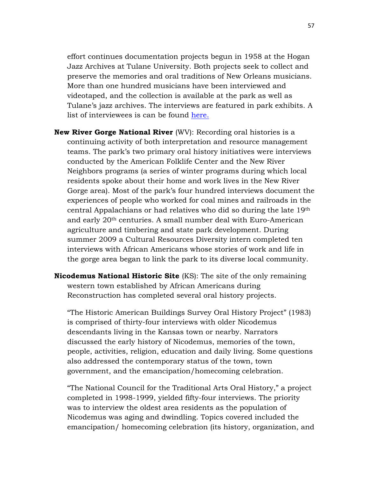effort continues documentation projects begun in 1958 at the Hogan Jazz Archives at Tulane University. Both projects seek to collect and preserve the memories and oral traditions of New Orleans musicians. More than one hundred musicians have been interviewed and videotaped, and the collection is available at the park as well as Tulane's jazz archives. The interviews are featured in park exhibits. A list of interviewees is can be found [here.](http://www.nps.gov/jazz/learn/historyculture/copy-of-people_armstrong.htm)

- **New River Gorge National River** (WV): Recording oral histories is a continuing activity of both interpretation and resource management teams. The park's two primary oral history initiatives were interviews conducted by the American Folklife Center and the New River Neighbors programs (a series of winter programs during which local residents spoke about their home and work lives in the New River Gorge area). Most of the park's four hundred interviews document the experiences of people who worked for coal mines and railroads in the central Appalachians or had relatives who did so during the late 19th and early 20th centuries. A small number deal with Euro-American agriculture and timbering and state park development. During summer 2009 a Cultural Resources Diversity intern completed ten interviews with African Americans whose stories of work and life in the gorge area began to link the park to its diverse local community.
- **Nicodemus National Historic Site** (KS): The site of the only remaining western town established by African Americans during Reconstruction has completed several oral history projects.

"The Historic American Buildings Survey Oral History Project" (1983) is comprised of thirty-four interviews with older Nicodemus descendants living in the Kansas town or nearby. Narrators discussed the early history of Nicodemus, memories of the town, people, activities, religion, education and daily living. Some questions also addressed the contemporary status of the town, town government, and the emancipation/homecoming celebration.

"The National Council for the Traditional Arts Oral History," a project completed in 1998-1999, yielded fifty-four interviews. The priority was to interview the oldest area residents as the population of Nicodemus was aging and dwindling. Topics covered included the emancipation/ homecoming celebration (its history, organization, and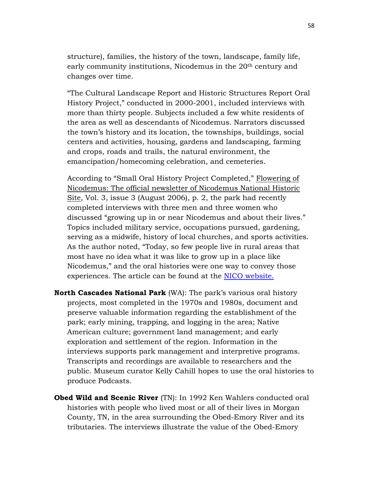structure), families, the history of the town, landscape, family life, early community institutions, Nicodemus in the 20<sup>th</sup> century and changes over time.

"The Cultural Landscape Report and Historic Structures Report Oral History Project," conducted in 2000-2001, included interviews with more than thirty people*.* Subjects included a few white residents of the area as well as descendants of Nicodemus. Narrators discussed the town's history and its location, the townships, buildings, social centers and activities, housing, gardens and landscaping, farming and crops, roads and trails, the natural environment, the emancipation/homecoming celebration, and cemeteries.

According to "Small Oral History Project Completed," Flowering of Nicodemus: The official newsletter of Nicodemus National Historic Site, Vol. 3, issue 3 (August 2006), p. 2, the park had recently completed interviews with three men and three women who discussed "growing up in or near Nicodemus and about their lives." Topics included military service, occupations pursued, gardening, serving as a midwife, history of local churches, and sports activities. As the author noted, "Today, so few people live in rural areas that most have no idea what it was like to grow up in a place like Nicodemus," and the oral histories were one way to convey those experiences. The article can be found at the [NICO website.](http://www.nps.gov/nico/upload/2006-8%20Newsletter-2.pdf)

- **North Cascades National Park** (WA): The park's various oral history projects, most completed in the 1970s and 1980s, document and preserve valuable information regarding the establishment of the park; early mining, trapping, and logging in the area; Native American culture; government land management; and early exploration and settlement of the region. Information in the interviews supports park management and interpretive programs. Transcripts and recordings are available to researchers and the public. Museum curator Kelly Cahill hopes to use the oral histories to produce Podcasts.
- **Obed Wild and Scenic River** (TN): In 1992 Ken Wahlers conducted oral histories with people who lived most or all of their lives in Morgan County, TN, in the area surrounding the Obed-Emory River and its tributaries. The interviews illustrate the value of the Obed-Emory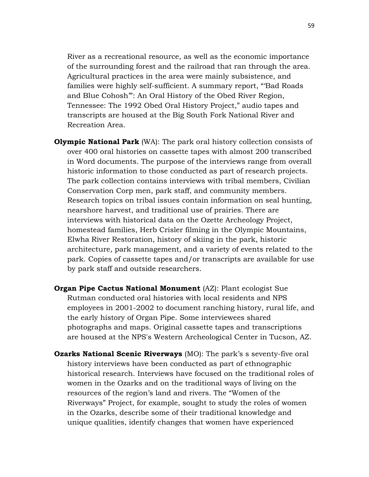River as a recreational resource, as well as the economic importance of the surrounding forest and the railroad that ran through the area. Agricultural practices in the area were mainly subsistence, and families were highly self-sufficient. A summary report, "'Bad Roads and Blue Cohosh'": An Oral History of the Obed River Region, Tennessee: The 1992 Obed Oral History Project," audio tapes and transcripts are housed at the Big South Fork National River and Recreation Area.

- **Olympic National Park** (WA): The park oral history collection consists of over 400 oral histories on cassette tapes with almost 200 transcribed in Word documents. The purpose of the interviews range from overall historic information to those conducted as part of research projects. The park collection contains interviews with tribal members, Civilian Conservation Corp men, park staff, and community members. Research topics on tribal issues contain information on seal hunting, nearshore harvest, and traditional use of prairies. There are interviews with historical data on the Ozette Archeology Project, homestead families, Herb Crisler filming in the Olympic Mountains, Elwha River Restoration, history of skiing in the park, historic architecture, park management, and a variety of events related to the park. Copies of cassette tapes and/or transcripts are available for use by park staff and outside researchers.
- **Organ Pipe Cactus National Monument** (AZ): Plant ecologist Sue Rutman conducted oral histories with local residents and NPS employees in 2001-2002 to document ranching history, rural life, and the early history of Organ Pipe. Some interviewees shared photographs and maps. Original cassette tapes and transcriptions are housed at the NPS's Western Archeological Center in Tucson, AZ.
- **Ozarks National Scenic Riverways** (MO): The park's s seventy-five oral history interviews have been conducted as part of ethnographic historical research. Interviews have focused on the traditional roles of women in the Ozarks and on the traditional ways of living on the resources of the region's land and rivers. The "Women of the Riverways" Project, for example, sought to study the roles of women in the Ozarks, describe some of their traditional knowledge and unique qualities, identify changes that women have experienced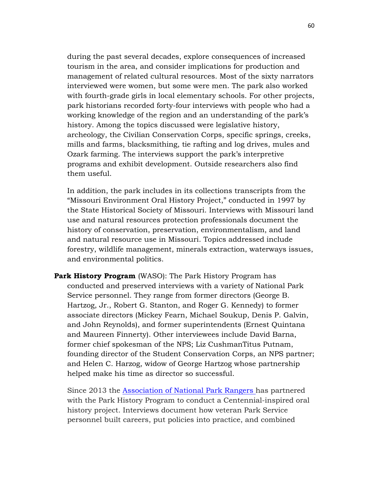during the past several decades, explore consequences of increased tourism in the area, and consider implications for production and management of related cultural resources. Most of the sixty narrators interviewed were women, but some were men. The park also worked with fourth-grade girls in local elementary schools. For other projects, park historians recorded forty-four interviews with people who had a working knowledge of the region and an understanding of the park's history. Among the topics discussed were legislative history, archeology, the Civilian Conservation Corps, specific springs, creeks, mills and farms, blacksmithing, tie rafting and log drives, mules and Ozark farming. The interviews support the park's interpretive programs and exhibit development. Outside researchers also find them useful.

In addition, the park includes in its collections transcripts from the "Missouri Environment Oral History Project," conducted in 1997 by the State Historical Society of Missouri. Interviews with Missouri land use and natural resources protection professionals document the history of conservation, preservation, environmentalism, and land and natural resource use in Missouri. Topics addressed include forestry, wildlife management, minerals extraction, waterways issues, and environmental politics.

**Park History Program** (WASO): The Park History Program has conducted and preserved interviews with a variety of National Park Service personnel. They range from former directors (George B. Hartzog, Jr., Robert G. Stanton, and Roger G. Kennedy) to former associate directors (Mickey Fearn, Michael Soukup, Denis P. Galvin, and John Reynolds), and former superintendents (Ernest Quintana and Maureen Finnerty). Other interviewees include David Barna, former chief spokesman of the NPS; Liz CushmanTitus Putnam, founding director of the Student Conservation Corps, an NPS partner; and Helen C. Harzog, widow of George Hartzog whose partnership helped make his time as director so successful.

Since 2013 the [Association of National Park Rangers](https://www.anpr.org/oralhistory.htm) has partnered with the Park History Program to conduct a Centennial-inspired oral history project. Interviews document how veteran Park Service personnel built careers, put policies into practice, and combined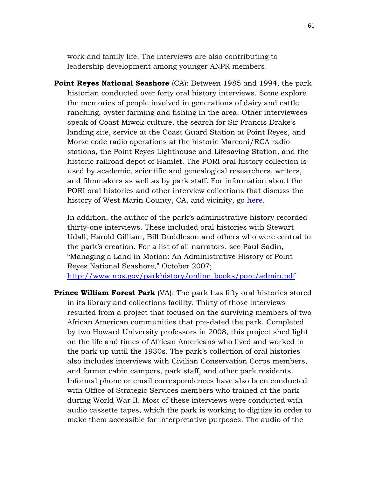work and family life. The interviews are also contributing to leadership development among younger ANPR members.

**Point Reyes National Seashore** (CA): Between 1985 and 1994, the park historian conducted over forty oral history interviews. Some explore the memories of people involved in generations of dairy and cattle ranching, oyster farming and fishing in the area. Other interviewees speak of Coast Miwok culture, the search for Sir Francis Drake's landing site, service at the Coast Guard Station at Point Reyes, and Morse code radio operations at the historic Marconi/RCA radio stations, the Point Reyes Lighthouse and Lifesaving Station, and the historic railroad depot of Hamlet. The PORI oral history collection is used by academic, scientific and genealogical researchers, writers, and filmmakers as well as by park staff. For information about the PORI oral histories and other interview collections that discuss the history of West Marin County, CA, and vicinity, go [here.](http://www.nps.gov/pore/historyculture/stories.htm)

In addition, the author of the park's administrative history recorded thirty-one interviews. These included oral histories with Stewart Udall, Harold Gilliam, Bill Duddleson and others who were central to the park's creation. For a list of all narrators, see Paul Sadin, "Managing a Land in Motion: An Administrative History of Point Reyes National Seashore," October 2007;

[http://www.nps.gov/parkhistory/online\\_books/pore/admin.pdf](http://www.nps.gov/parkhistory/online_books/pore/admin.pdf)

**Prince William Forest Park** (VA): The park has fifty oral histories stored in its library and collections facility. Thirty of those interviews resulted from a project that focused on the surviving members of two African American communities that pre-dated the park. Completed by two Howard University professors in 2008, this project shed light on the life and times of African Americans who lived and worked in the park up until the 1930s. The park's collection of oral histories also includes interviews with Civilian Conservation Corps members, and former cabin campers, park staff, and other park residents. Informal phone or email correspondences have also been conducted with Office of Strategic Services members who trained at the park during World War II. Most of these interviews were conducted with audio cassette tapes, which the park is working to digitize in order to make them accessible for interpretative purposes. The audio of the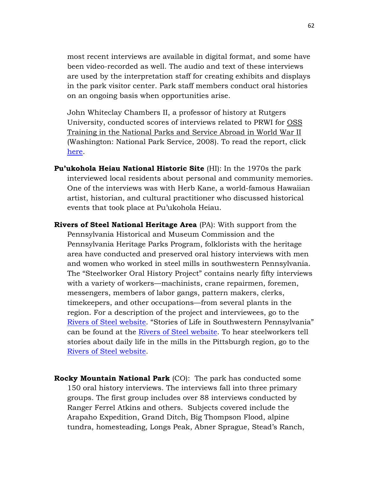most recent interviews are available in digital format, and some have been video-recorded as well. The audio and text of these interviews are used by the interpretation staff for creating exhibits and displays in the park visitor center. Park staff members conduct oral histories on an ongoing basis when opportunities arise.

John Whiteclay Chambers II, a professor of history at Rutgers University, conducted scores of interviews related to PRWI for OSS Training in the National Parks and Service Abroad in World War II (Washington: National Park Service, 2008). To read the report, click [here.](http://www.nps.gov/parkhistory/online_books/oss/index.htm)

- **Pu'ukohola Heiau National Historic Site** (HI): In the 1970s the park interviewed local residents about personal and community memories. One of the interviews was with Herb Kane, a world-famous Hawaiian artist, historian, and cultural practitioner who discussed historical events that took place at Pu'ukohola Heiau.
- **Rivers of Steel National Heritage Area** (PA): With support from the Pennsylvania Historical and Museum Commission and the Pennsylvania Heritage Parks Program, folklorists with the heritage area have conducted and preserved oral history interviews with men and women who worked in steel mills in southwestern Pennsylvania. The "Steelworker Oral History Project" contains nearly fifty interviews with a variety of workers—machinists, crane repairmen, foremen, messengers, members of labor gangs, pattern makers, clerks, timekeepers, and other occupations—from several plants in the region. For a description of the project and interviewees, go to the [Rivers of Steel website.](http://www.riversofsteel.com/preservation/museum-and-archives/oral-histories/) "Stories of Life in Southwestern Pennsylvania" can be found at the [Rivers of Steel website.](http://www.riversofsteel.com/preservation/stories-of-life-in-southwestern-pennsylvania/) To hear steelworkers tell stories about daily life in the mills in the Pittsburgh region, go to the [Rivers of Steel website.](http://www.riversofsteel.com/traditionbearers/mill_worker/millworkermemories.html)
- **Rocky Mountain National Park** (CO): The park has conducted some 150 oral history interviews. The interviews fall into three primary groups. The first group includes over 88 interviews conducted by Ranger Ferrel Atkins and others. Subjects covered include the Arapaho Expedition, Grand Ditch, Big Thompson Flood, alpine tundra, homesteading, Longs Peak, Abner Sprague, Stead's Ranch,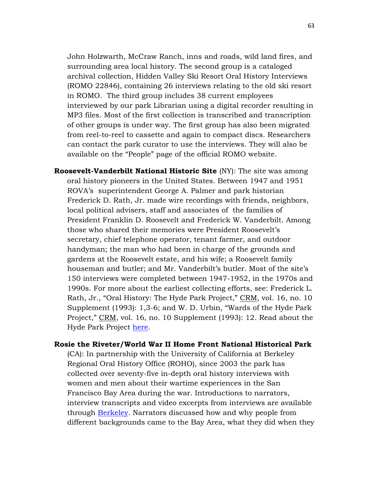John Holzwarth, McCraw Ranch, inns and roads, wild land fires, and surrounding area local history. The second group is a cataloged archival collection, Hidden Valley Ski Resort Oral History Interviews (ROMO 22846), containing 26 interviews relating to the old ski resort in ROMO. The third group includes 38 current employees interviewed by our park Librarian using a digital recorder resulting in MP3 files. Most of the first collection is transcribed and transcription of other groups is under way. The first group has also been migrated from reel-to-reel to cassette and again to compact discs. Researchers can contact the park curator to use the interviews. They will also be available on the "People" page of the official ROMO website.

**Roosevelt-Vanderbilt National Historic Site** (NY): The site was among oral history pioneers in the United States. Between 1947 and 1951 ROVA's superintendent George A. Palmer and park historian Frederick D. Rath, Jr. made wire recordings with friends, neighbors, local political advisers, staff and associates of the families of President Franklin D. Roosevelt and Frederick W. Vanderbilt. Among those who shared their memories were President Roosevelt's secretary, chief telephone operator, tenant farmer, and outdoor handyman; the man who had been in charge of the grounds and gardens at the Roosevelt estate, and his wife; a Roosevelt family houseman and butler; and Mr. Vanderbilt's butler. Most of the site's 150 interviews were completed between 1947-1952, in the 1970s and 1990s. For more about the earliest collecting efforts, see: Frederick L. Rath, Jr., "Oral History: The Hyde Park Project," CRM, vol. 16, no. 10 Supplement (1993): 1,3-6; and W. D. Urbin, "Wards of the Hyde Park Project," CRM, vol. 16, no. 10 Supplement (1993): 12. Read about the Hyde Park Project [here.](http://npshistory.com/newsletters/crm/crm-v16n10s.pdf)

## **Rosie the Riveter/World War II Home Front National Historical Park**

(CA): In partnership with the University of California at Berkeley Regional Oral History Office (ROHO), since 2003 the park has collected over seventy-five in-depth oral history interviews with women and men about their wartime experiences in the San Francisco Bay Area during the war. Introductions to narrators, interview transcripts and video excerpts from interviews are available through [Berkeley.](http://bancroft.berkeley.edu/ROHO/projects/rosie/) Narrators discussed how and why people from different backgrounds came to the Bay Area, what they did when they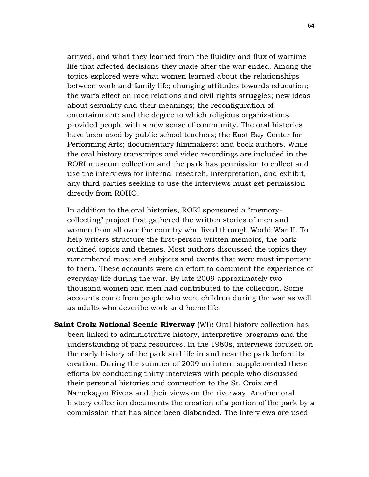arrived, and what they learned from the fluidity and flux of wartime life that affected decisions they made after the war ended. Among the topics explored were what women learned about the relationships between work and family life; changing attitudes towards education; the war's effect on race relations and civil rights struggles; new ideas about sexuality and their meanings; the reconfiguration of entertainment; and the degree to which religious organizations provided people with a new sense of community. The oral histories have been used by public school teachers; the East Bay Center for Performing Arts; documentary filmmakers; and book authors. While the oral history transcripts and video recordings are included in the RORI museum collection and the park has permission to collect and use the interviews for internal research, interpretation, and exhibit, any third parties seeking to use the interviews must get permission directly from ROHO.

In addition to the oral histories, RORI sponsored a "memorycollecting" project that gathered the written stories of men and women from all over the country who lived through World War II. To help writers structure the first-person written memoirs, the park outlined topics and themes. Most authors discussed the topics they remembered most and subjects and events that were most important to them. These accounts were an effort to document the experience of everyday life during the war. By late 2009 approximately two thousand women and men had contributed to the collection. Some accounts come from people who were children during the war as well as adults who describe work and home life.

**Saint Croix National Scenic Riverway** (WI)**:** Oral history collection has been linked to administrative history, interpretive programs and the understanding of park resources. In the 1980s, interviews focused on the early history of the park and life in and near the park before its creation. During the summer of 2009 an intern supplemented these efforts by conducting thirty interviews with people who discussed their personal histories and connection to the St. Croix and Namekagon Rivers and their views on the riverway. Another oral history collection documents the creation of a portion of the park by a commission that has since been disbanded. The interviews are used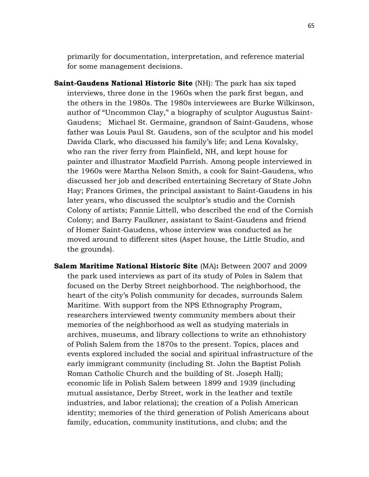primarily for documentation, interpretation, and reference material for some management decisions.

- **Saint-Gaudens National Historic Site** (NH): The park has six taped interviews, three done in the 1960s when the park first began, and the others in the 1980s. The 1980s interviewees are Burke Wilkinson, author of "Uncommon Clay," a biography of sculptor Augustus Saint-Gaudens; Michael St. Germaine, grandson of Saint-Gaudens, whose father was Louis Paul St. Gaudens, son of the sculptor and his model Davida Clark, who discussed his family's life; and Lena Kovalsky, who ran the river ferry from Plainfield, NH, and kept house for painter and illustrator Maxfield Parrish. Among people interviewed in the 1960s were Martha Nelson Smith, a cook for Saint-Gaudens, who discussed her job and described entertaining Secretary of State John Hay; Frances Grimes, the principal assistant to Saint-Gaudens in his later years, who discussed the sculptor's studio and the Cornish Colony of artists; Fannie Littell, who described the end of the Cornish Colony; and Barry Faulkner, assistant to Saint-Gaudens and friend of Homer Saint-Gaudens, whose interview was conducted as he moved around to different sites (Aspet house, the Little Studio, and the grounds).
- **Salem Maritime National Historic Site** (MA)**:** Between 2007 and 2009 the park used interviews as part of its study of Poles in Salem that focused on the Derby Street neighborhood. The neighborhood, the heart of the city's Polish community for decades, surrounds Salem Maritime. With support from the NPS Ethnography Program, researchers interviewed twenty community members about their memories of the neighborhood as well as studying materials in archives, museums, and library collections to write an ethnohistory of Polish Salem from the 1870s to the present. Topics, places and events explored included the social and spiritual infrastructure of the early immigrant community (including St. John the Baptist Polish Roman Catholic Church and the building of St. Joseph Hall); economic life in Polish Salem between 1899 and 1939 (including mutual assistance, Derby Street, work in the leather and textile industries, and labor relations); the creation of a Polish American identity; memories of the third generation of Polish Americans about family, education, community institutions, and clubs; and the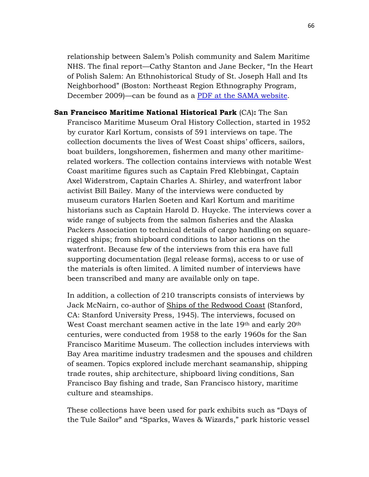relationship between Salem's Polish community and Salem Maritime NHS. The final report—Cathy Stanton and Jane Becker, "In the Heart of Polish Salem: An Ethnohistorical Study of St. Joseph Hall and Its Neighborhood" (Boston: Northeast Region Ethnography Program, December 2009)—can be found as a [PDF at the SAMA website.](http://www.nps.gov/sama/historyculture/upload/SAMA-rpt-small.pdf)

**San Francisco Maritime National Historical Park** (CA)**:** The San Francisco Maritime Museum Oral History Collection, started in 1952 by curator Karl Kortum, consists of 591 interviews on tape. The collection documents the lives of West Coast ships' officers, sailors, boat builders, longshoremen, fishermen and many other maritimerelated workers. The collection contains interviews with notable West Coast maritime figures such as Captain Fred Klebbingat, Captain Axel Widerstrom, Captain Charles A. Shirley, and waterfront labor activist Bill Bailey. Many of the interviews were conducted by museum curators Harlen Soeten and Karl Kortum and maritime historians such as Captain Harold D. Huycke. The interviews cover a wide range of subjects from the salmon fisheries and the Alaska Packers Association to technical details of cargo handling on squarerigged ships; from shipboard conditions to labor actions on the waterfront. Because few of the interviews from this era have full supporting documentation (legal release forms), access to or use of the materials is often limited. A limited number of interviews have been transcribed and many are available only on tape.

In addition, a collection of 210 transcripts consists of interviews by Jack McNairn, co-author of Ships of the Redwood Coast (Stanford, CA: Stanford University Press, 1945). The interviews, focused on West Coast merchant seamen active in the late 19th and early 20th centuries, were conducted from 1958 to the early 1960s for the San Francisco Maritime Museum. The collection includes interviews with Bay Area maritime industry tradesmen and the spouses and children of seamen. Topics explored include merchant seamanship, shipping trade routes, ship architecture, shipboard living conditions, San Francisco Bay fishing and trade, San Francisco history, maritime culture and steamships.

These collections have been used for park exhibits such as "Days of the Tule Sailor" and "Sparks, Waves & Wizards," park historic vessel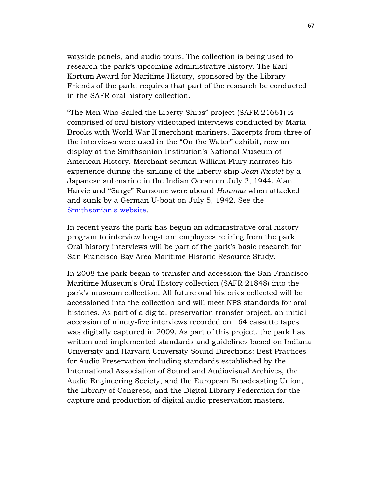wayside panels, and audio tours. The collection is being used to research the park's upcoming administrative history. The Karl Kortum Award for Maritime History, sponsored by the Library Friends of the park, requires that part of the research be conducted in the SAFR oral history collection.

"The Men Who Sailed the Liberty Ships" project (SAFR 21661) is comprised of oral history videotaped interviews conducted by Maria Brooks with World War II merchant mariners. Excerpts from three of the interviews were used in the "On the Water" exhibit, now on display at the Smithsonian Institution's National Museum of American History. Merchant seaman William Flury narrates his experience during the sinking of the Liberty ship *Jean Nicolet* by a Japanese submarine in the Indian Ocean on July 2, 1944. Alan Harvie and "Sarge" Ransome were aboard *Honumu* when attacked and sunk by a German U-boat on July 5, 1942. See the [Smithsonian's website.](http://americanhistory.si.edu/onthewater/exhibition/6_3.html#PerilsOfWar)

In recent years the park has begun an administrative oral history program to interview long-term employees retiring from the park. Oral history interviews will be part of the park's basic research for San Francisco Bay Area Maritime Historic Resource Study.

In 2008 the park began to transfer and accession the San Francisco Maritime Museum's Oral History collection (SAFR 21848) into the park's museum collection. All future oral histories collected will be accessioned into the collection and will meet NPS standards for oral histories. As part of a digital preservation transfer project, an initial accession of ninety-five interviews recorded on 164 cassette tapes was digitally captured in 2009. As part of this project, the park has written and implemented standards and guidelines based on Indiana University and Harvard University Sound Directions: Best Practices for Audio Preservation including standards established by the International Association of Sound and Audiovisual Archives, the Audio Engineering Society, and the European Broadcasting Union, the Library of Congress, and the Digital Library Federation for the capture and production of digital audio preservation masters.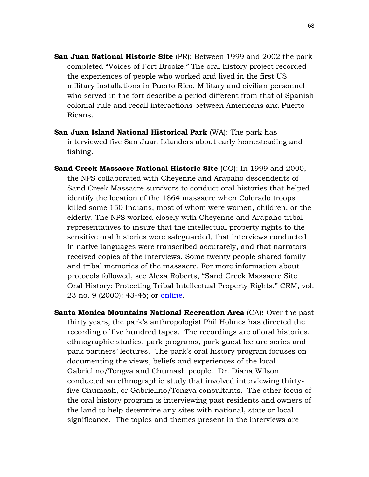- **San Juan National Historic Site** (PR): Between 1999 and 2002 the park completed "Voices of Fort Brooke." The oral history project recorded the experiences of people who worked and lived in the first US military installations in Puerto Rico. Military and civilian personnel who served in the fort describe a period different from that of Spanish colonial rule and recall interactions between Americans and Puerto Ricans.
- **San Juan Island National Historical Park** (WA): The park has interviewed five San Juan Islanders about early homesteading and fishing.
- **Sand Creek Massacre National Historic Site** (CO): In 1999 and 2000, the NPS collaborated with Cheyenne and Arapaho descendents of Sand Creek Massacre survivors to conduct oral histories that helped identify the location of the 1864 massacre when Colorado troops killed some 150 Indians, most of whom were women, children, or the elderly. The NPS worked closely with Cheyenne and Arapaho tribal representatives to insure that the intellectual property rights to the sensitive oral histories were safeguarded, that interviews conducted in native languages were transcribed accurately, and that narrators received copies of the interviews. Some twenty people shared family and tribal memories of the massacre. For more information about protocols followed, see Alexa Roberts, "Sand Creek Massacre Site Oral History: Protecting Tribal Intellectual Property Rights," CRM, vol. 23 no. 9 (2000): 43-46; or [online.](http://npshistory.com/newsletters/crm/crm-v23n9.pdf)
- **Santa Monica Mountains National Recreation Area** (CA)**:** Over the past thirty years, the park's anthropologist Phil Holmes has directed the recording of five hundred tapes. The recordings are of oral histories, ethnographic studies, park programs, park guest lecture series and park partners' lectures. The park's oral history program focuses on documenting the views, beliefs and experiences of the local Gabrielino/Tongva and Chumash people. Dr. Diana Wilson conducted an ethnographic study that involved interviewing thirtyfive Chumash, or Gabrielino/Tongva consultants. The other focus of the oral history program is interviewing past residents and owners of the land to help determine any sites with national, state or local significance. The topics and themes present in the interviews are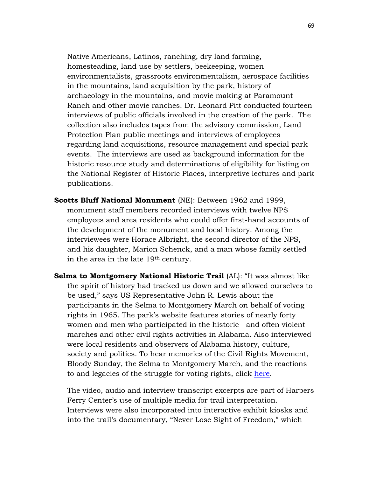Native Americans, Latinos, ranching, dry land farming, homesteading, land use by settlers, beekeeping, women environmentalists, grassroots environmentalism, aerospace facilities in the mountains, land acquisition by the park, history of archaeology in the mountains, and movie making at Paramount Ranch and other movie ranches. Dr. Leonard Pitt conducted fourteen interviews of public officials involved in the creation of the park. The collection also includes tapes from the advisory commission, Land Protection Plan public meetings and interviews of employees regarding land acquisitions, resource management and special park events. The interviews are used as background information for the historic resource study and determinations of eligibility for listing on the National Register of Historic Places, interpretive lectures and park publications.

- **Scotts Bluff National Monument** (NE): Between 1962 and 1999, monument staff members recorded interviews with twelve NPS employees and area residents who could offer first-hand accounts of the development of the monument and local history. Among the interviewees were Horace Albright, the second director of the NPS, and his daughter, Marion Schenck, and a man whose family settled in the area in the late 19th century.
- **Selma to Montgomery National Historic Trail** (AL): "It was almost like the spirit of history had tracked us down and we allowed ourselves to be used," says US Representative John R. Lewis about the participants in the Selma to Montgomery March on behalf of voting rights in 1965. The park's website features stories of nearly forty women and men who participated in the historic—and often violent marches and other civil rights activities in Alabama. Also interviewed were local residents and observers of Alabama history, culture, society and politics. To hear memories of the Civil Rights Movement, Bloody Sunday, the Selma to Montgomery March, and the reactions to and legacies of the struggle for voting rights, click [here.](http://www.nps.gov/semo/learn/historyculture/stories.htm)

The video, audio and interview transcript excerpts are part of Harpers Ferry Center's use of multiple media for trail interpretation. Interviews were also incorporated into interactive exhibit kiosks and into the trail's documentary, "Never Lose Sight of Freedom," which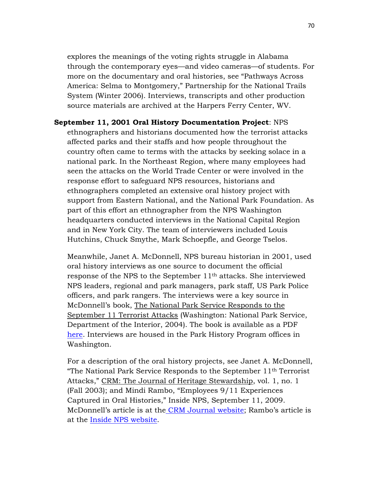explores the meanings of the voting rights struggle in Alabama through the contemporary eyes—and video cameras—of students. For more on the documentary and oral histories, see "Pathways Across America: Selma to Montgomery," Partnership for the National Trails System (Winter 2006). Interviews, transcripts and other production source materials are archived at the Harpers Ferry Center, WV.

**September 11, 2001 Oral History Documentation Project**: NPS ethnographers and historians documented how the terrorist attacks affected parks and their staffs and how people throughout the country often came to terms with the attacks by seeking solace in a national park. In the Northeast Region, where many employees had seen the attacks on the World Trade Center or were involved in the response effort to safeguard NPS resources, historians and ethnographers completed an extensive oral history project with support from Eastern National, and the National Park Foundation. As part of this effort an ethnographer from the NPS Washington headquarters conducted interviews in the National Capital Region and in New York City. The team of interviewers included Louis Hutchins, Chuck Smythe, Mark Schoepfle, and George Tselos.

Meanwhile, Janet A. McDonnell, NPS bureau historian in 2001, used oral history interviews as one source to document the official response of the NPS to the September 11th attacks. She interviewed NPS leaders, regional and park managers, park staff, US Park Police officers, and park rangers. The interviews were a key source in McDonnell's book, The National Park Service Responds to the September 11 Terrorist Attacks (Washington: National Park Service, Department of the Interior, 2004). The book is available as a PDF [here.](http://www.nps.gov/parkhistory/online_books/mcdonnell/911.pdf) Interviews are housed in the Park History Program offices in Washington.

For a description of the oral history projects, see Janet A. McDonnell, "The National Park Service Responds to the September 11th Terrorist Attacks," CRM: The Journal of Heritage Stewardship, vol. 1, no. 1 (Fall 2003); and Mindi Rambo, "Employees 9/11 Experiences Captured in Oral Histories," Inside NPS, September 11, 2009. McDonnell's article is at the [CRM Journal website;](http://npshistory.com/newsletters/crm/journal-v1n1.pdf) Rambo's article is at the [Inside NPS website.](http://inside.nps.gov/index.cfm?handler=viewnpsnewsarticle&type=Announcements&id=8154)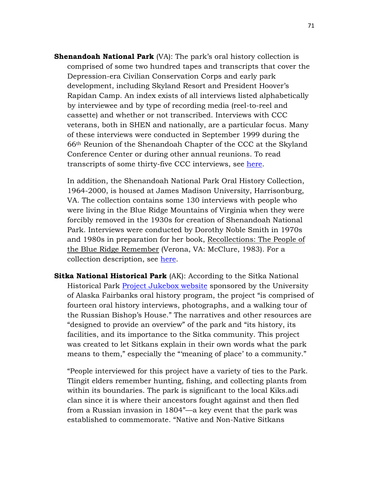**Shenandoah National Park** (VA): The park's oral history collection is comprised of some two hundred tapes and transcripts that cover the Depression-era Civilian Conservation Corps and early park development, including Skyland Resort and President Hoover's Rapidan Camp. An index exists of all interviews listed alphabetically by interviewee and by type of recording media (reel-to-reel and cassette) and whether or not transcribed. Interviews with CCC veterans, both in SHEN and nationally, are a particular focus. Many of these interviews were conducted in September 1999 during the 66th Reunion of the Shenandoah Chapter of the CCC at the Skyland Conference Center or during other annual reunions. To read transcripts of some thirty-five CCC interviews, see [here.](http://www.nps.gov/shen/historyculture/cccoralhistories.htm)

In addition, the Shenandoah National Park Oral History Collection, 1964-2000, is housed at James Madison University, Harrisonburg, VA. The collection contains some 130 interviews with people who were living in the Blue Ridge Mountains of Virginia when they were forcibly removed in the 1930s for creation of Shenandoah National Park. Interviews were conducted by Dorothy Noble Smith in 1970s and 1980s in preparation for her book, Recollections: The People of the Blue Ridge Remember (Verona, VA: McClure, 1983). For a collection description, see [here.](http://www.lib.jmu.edu/Special/manuscripts/SNP.aspx)

**Sitka National Historical Park** (AK): According to the Sitka National Historical Park [Project Jukebox website](http://jukebox.uaf.edu/Sitka/start.htm) sponsored by the University of Alaska Fairbanks oral history program, the project "is comprised of fourteen oral history interviews, photographs, and a walking tour of the Russian Bishop's House." The narratives and other resources are "designed to provide an overview" of the park and "its history, its facilities, and its importance to the Sitka community. This project was created to let Sitkans explain in their own words what the park means to them," especially the "'meaning of place' to a community."

"People interviewed for this project have a variety of ties to the Park. Tlingit elders remember hunting, fishing, and collecting plants from within its boundaries. The park is significant to the local Kiks.adi clan since it is where their ancestors fought against and then fled from a Russian invasion in 1804"—a key event that the park was established to commemorate. "Native and Non-Native Sitkans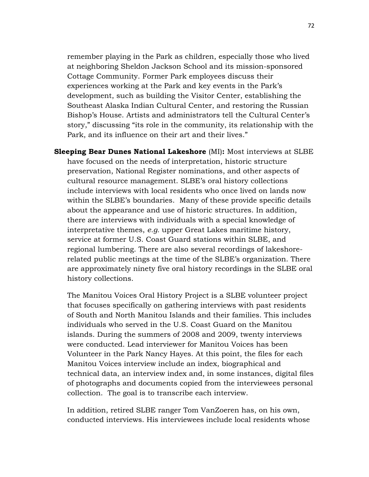remember playing in the Park as children, especially those who lived at neighboring Sheldon Jackson School and its mission-sponsored Cottage Community. Former Park employees discuss their experiences working at the Park and key events in the Park's development, such as building the Visitor Center, establishing the Southeast Alaska Indian Cultural Center, and restoring the Russian Bishop's House. Artists and administrators tell the Cultural Center's story," discussing "its role in the community, its relationship with the Park, and its influence on their art and their lives."

**Sleeping Bear Dunes National Lakeshore** (MI)**:** Most interviews at SLBE have focused on the needs of interpretation, historic structure preservation, National Register nominations, and other aspects of cultural resource management. SLBE's oral history collections include interviews with local residents who once lived on lands now within the SLBE's boundaries. Many of these provide specific details about the appearance and use of historic structures. In addition, there are interviews with individuals with a special knowledge of interpretative themes, *e.g.* upper Great Lakes maritime history, service at former U.S. Coast Guard stations within SLBE, and regional lumbering. There are also several recordings of lakeshorerelated public meetings at the time of the SLBE's organization. There are approximately ninety five oral history recordings in the SLBE oral history collections.

The Manitou Voices Oral History Project is a SLBE volunteer project that focuses specifically on gathering interviews with past residents of South and North Manitou Islands and their families. This includes individuals who served in the U.S. Coast Guard on the Manitou islands. During the summers of 2008 and 2009, twenty interviews were conducted. Lead interviewer for Manitou Voices has been Volunteer in the Park Nancy Hayes. At this point, the files for each Manitou Voices interview include an index, biographical and technical data, an interview index and, in some instances, digital files of photographs and documents copied from the interviewees personal collection. The goal is to transcribe each interview.

In addition, retired SLBE ranger Tom VanZoeren has, on his own, conducted interviews. His interviewees include local residents whose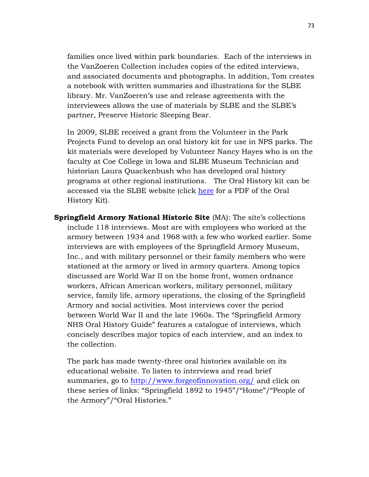families once lived within park boundaries. Each of the interviews in the VanZoeren Collection includes copies of the edited interviews, and associated documents and photographs. In addition, Tom creates a notebook with written summaries and illustrations for the SLBE library. Mr. VanZoeren's use and release agreements with the interviewees allows the use of materials by SLBE and the SLBE's partner, Preserve Historic Sleeping Bear.

In 2009, SLBE received a grant from the Volunteer in the Park Projects Fund to develop an oral history kit for use in NPS parks. The kit materials were developed by Volunteer Nancy Hayes who is on the faculty at Coe College in Iowa and SLBE Museum Technician and historian Laura Quackenbush who has developed oral history programs at other regional institutions. The Oral History kit can be accessed via the SLBE website (click [here](http://www.nps.gov/slbe/historyculture/upload/oralhistorykit.pdf.) for a PDF of the Oral History Kit).

**Springfield Armory National Historic Site** (MA): The site's collections include 118 interviews. Most are with employees who worked at the armory between 1934 and 1968 with a few who worked earlier. Some interviews are with employees of the Springfield Armory Museum, Inc., and with military personnel or their family members who were stationed at the armory or lived in armory quarters. Among topics discussed are World War II on the home front, women ordnance workers, African American workers, military personnel, military service, family life, armory operations, the closing of the Springfield Armory and social activities. Most interviews cover the period between World War II and the late 1960s. The "Springfield Armory NHS Oral History Guide" features a catalogue of interviews, which concisely describes major topics of each interview, and an index to the collection.

The park has made twenty-three oral histories available on its educational website. To listen to interviews and read brief summaries, go to<http://www.forgeofinnovation.org/> and click on these series of links: "Springfield 1892 to 1945"/"Home"/"People of the Armory"/"Oral Histories."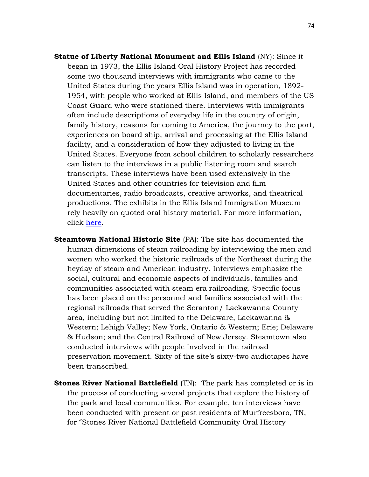- **Statue of Liberty National Monument and Ellis Island** (NY): Since it began in 1973, the Ellis Island Oral History Project has recorded some two thousand interviews with immigrants who came to the United States during the years Ellis Island was in operation, 1892- 1954, with people who worked at Ellis Island, and members of the US Coast Guard who were stationed there. Interviews with immigrants often include descriptions of everyday life in the country of origin, family history, reasons for coming to America, the journey to the port, experiences on board ship, arrival and processing at the Ellis Island facility, and a consideration of how they adjusted to living in the United States. Everyone from school children to scholarly researchers can listen to the interviews in a public listening room and search transcripts. These interviews have been used extensively in the United States and other countries for television and film documentaries, radio broadcasts, creative artworks, and theatrical productions. The exhibits in the Ellis Island Immigration Museum rely heavily on quoted oral history material. For more information, click [here.](http://www.nps.gov/elis/learn/historyculture/ellis-island-oral-history-project.htm)
- **Steamtown National Historic Site** (PA): The site has documented the human dimensions of steam railroading by interviewing the men and women who worked the historic railroads of the Northeast during the heyday of steam and American industry. Interviews emphasize the social, cultural and economic aspects of individuals, families and communities associated with steam era railroading. Specific focus has been placed on the personnel and families associated with the regional railroads that served the Scranton/ Lackawanna County area, including but not limited to the Delaware, Lackawanna & Western; Lehigh Valley; New York, Ontario & Western; Erie; Delaware & Hudson; and the Central Railroad of New Jersey. Steamtown also conducted interviews with people involved in the railroad preservation movement. Sixty of the site's sixty-two audiotapes have been transcribed.
- **Stones River National Battlefield** (TN): The park has completed or is in the process of conducting several projects that explore the history of the park and local communities. For example, ten interviews have been conducted with present or past residents of Murfreesboro, TN, for "Stones River National Battlefield Community Oral History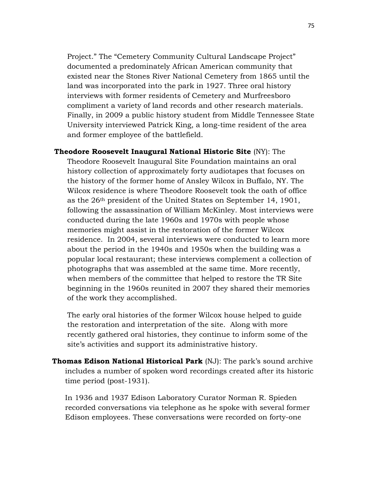Project." The "Cemetery Community Cultural Landscape Project" documented a predominately African American community that existed near the Stones River National Cemetery from 1865 until the land was incorporated into the park in 1927. Three oral history interviews with former residents of Cemetery and Murfreesboro compliment a variety of land records and other research materials. Finally, in 2009 a public history student from Middle Tennessee State University interviewed Patrick King, a long-time resident of the area and former employee of the battlefield.

#### **Theodore Roosevelt Inaugural National Historic Site** (NY): The

Theodore Roosevelt Inaugural Site Foundation maintains an oral history collection of approximately forty audiotapes that focuses on the history of the former home of Ansley Wilcox in Buffalo, NY. The Wilcox residence is where Theodore Roosevelt took the oath of office as the 26th president of the United States on September 14, 1901, following the assassination of William McKinley. Most interviews were conducted during the late 1960s and 1970s with people whose memories might assist in the restoration of the former Wilcox residence. In 2004, several interviews were conducted to learn more about the period in the 1940s and 1950s when the building was a popular local restaurant; these interviews complement a collection of photographs that was assembled at the same time. More recently, when members of the committee that helped to restore the TR Site beginning in the 1960s reunited in 2007 they shared their memories of the work they accomplished.

The early oral histories of the former Wilcox house helped to guide the restoration and interpretation of the site. Along with more recently gathered oral histories, they continue to inform some of the site's activities and support its administrative history.

**Thomas Edison National Historical Park** (NJ): The park's sound archive includes a number of spoken word recordings created after its historic time period (post-1931).

In 1936 and 1937 Edison Laboratory Curator Norman R. Spieden recorded conversations via telephone as he spoke with several former Edison employees. These conversations were recorded on forty-one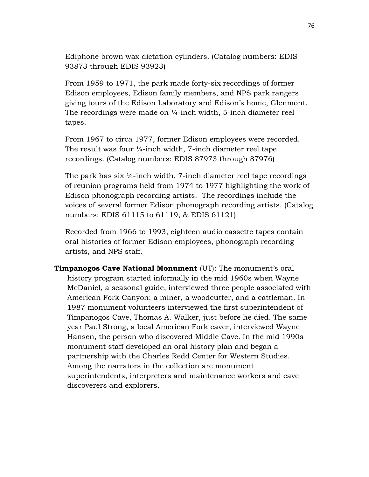Ediphone brown wax dictation cylinders. (Catalog numbers: EDIS 93873 through EDIS 93923)

From 1959 to 1971, the park made forty-six recordings of former Edison employees, Edison family members, and NPS park rangers giving tours of the Edison Laboratory and Edison's home, Glenmont. The recordings were made on ¼-inch width, 5-inch diameter reel tapes.

From 1967 to circa 1977, former Edison employees were recorded. The result was four ¼-inch width, 7-inch diameter reel tape recordings. (Catalog numbers: EDIS 87973 through 87976)

The park has six ¼-inch width, 7-inch diameter reel tape recordings of reunion programs held from 1974 to 1977 highlighting the work of Edison phonograph recording artists. The recordings include the voices of several former Edison phonograph recording artists. (Catalog numbers: EDIS 61115 to 61119, & EDIS 61121)

Recorded from 1966 to 1993, eighteen audio cassette tapes contain oral histories of former Edison employees, phonograph recording artists, and NPS staff.

**Timpanogos Cave National Monument** (UT): The monument's oral history program started informally in the mid 1960s when Wayne McDaniel, a seasonal guide, interviewed three people associated with American Fork Canyon: a miner, a woodcutter, and a cattleman. In 1987 monument volunteers interviewed the first superintendent of Timpanogos Cave, Thomas A. Walker, just before he died. The same year Paul Strong, a local American Fork caver, interviewed Wayne Hansen, the person who discovered Middle Cave. In the mid 1990s monument staff developed an oral history plan and began a partnership with the Charles Redd Center for Western Studies. Among the narrators in the collection are monument superintendents, interpreters and maintenance workers and cave discoverers and explorers.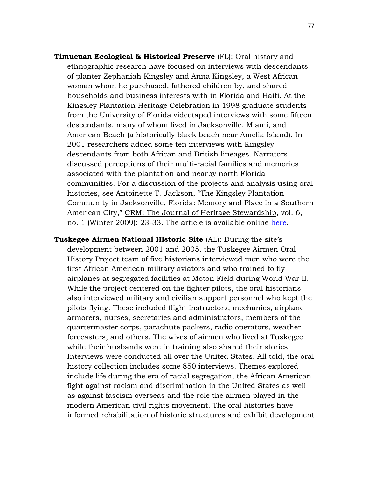- **Timucuan Ecological & Historical Preserve** (FL): Oral history and ethnographic research have focused on interviews with descendants of planter Zephaniah Kingsley and Anna Kingsley, a West African woman whom he purchased, fathered children by, and shared households and business interests with in Florida and Haiti. At the Kingsley Plantation Heritage Celebration in 1998 graduate students from the University of Florida videotaped interviews with some fifteen descendants, many of whom lived in Jacksonville, Miami, and American Beach (a historically black beach near Amelia Island). In 2001 researchers added some ten interviews with Kingsley descendants from both African and British lineages. Narrators discussed perceptions of their multi-racial families and memories associated with the plantation and nearby north Florida communities. For a discussion of the projects and analysis using oral histories, see Antoinette T. Jackson, "The Kingsley Plantation Community in Jacksonville, Florida: Memory and Place in a Southern American City," CRM: The Journal of Heritage Stewardship, vol. 6, no. 1 (Winter 2009): 23-33. The article is available online [here.](http://npshistory.com/newsletters/crm/journal-v6n1.pdf)
- **Tuskegee Airmen National Historic Site** (AL): During the site's development between 2001 and 2005, the Tuskegee Airmen Oral History Project team of five historians interviewed men who were the first African American military aviators and who trained to fly airplanes at segregated facilities at Moton Field during World War II. While the project centered on the fighter pilots, the oral historians also interviewed military and civilian support personnel who kept the pilots flying. These included flight instructors, mechanics, airplane armorers, nurses, secretaries and administrators, members of the quartermaster corps, parachute packers, radio operators, weather forecasters, and others. The wives of airmen who lived at Tuskegee while their husbands were in training also shared their stories. Interviews were conducted all over the United States. All told, the oral history collection includes some 850 interviews. Themes explored include life during the era of racial segregation, the African American fight against racism and discrimination in the United States as well as against fascism overseas and the role the airmen played in the modern American civil rights movement. The oral histories have informed rehabilitation of historic structures and exhibit development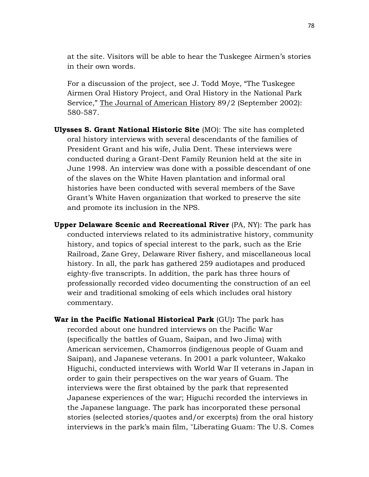at the site. Visitors will be able to hear the Tuskegee Airmen's stories in their own words.

For a discussion of the project, see J. Todd Moye*,* "The Tuskegee Airmen Oral History Project, and Oral History in the National Park Service," The Journal of American History 89/2 (September 2002): 580-587.

- **Ulysses S. Grant National Historic Site** (MO): The site has completed oral history interviews with several descendants of the families of President Grant and his wife, Julia Dent. These interviews were conducted during a Grant-Dent Family Reunion held at the site in June 1998. An interview was done with a possible descendant of one of the slaves on the White Haven plantation and informal oral histories have been conducted with several members of the Save Grant's White Haven organization that worked to preserve the site and promote its inclusion in the NPS.
- **Upper Delaware Scenic and Recreational River** (PA, NY): The park has conducted interviews related to its administrative history, community history, and topics of special interest to the park, such as the Erie Railroad, Zane Grey, Delaware River fishery, and miscellaneous local history. In all, the park has gathered 259 audiotapes and produced eighty-five transcripts. In addition, the park has three hours of professionally recorded video documenting the construction of an eel weir and traditional smoking of eels which includes oral history commentary.
- **War in the Pacific National Historical Park** (GU)**:** The park has recorded about one hundred interviews on the Pacific War (specifically the battles of Guam, Saipan, and Iwo Jima) with American servicemen, Chamorros (indigenous people of Guam and Saipan), and Japanese veterans. In 2001 a park volunteer, Wakako Higuchi, conducted interviews with World War II veterans in Japan in order to gain their perspectives on the war years of Guam. The interviews were the first obtained by the park that represented Japanese experiences of the war; Higuchi recorded the interviews in the Japanese language. The park has incorporated these personal stories (selected stories/quotes and/or excerpts) from the oral history interviews in the park's main film, "Liberating Guam: The U.S. Comes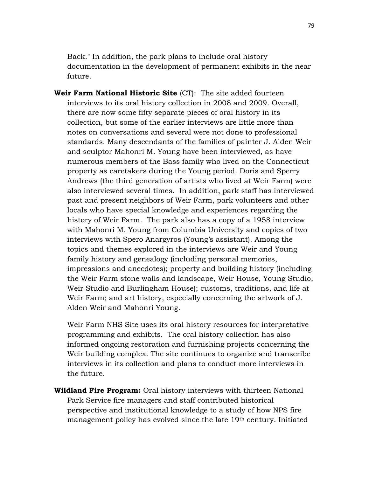Back." In addition, the park plans to include oral history documentation in the development of permanent exhibits in the near future.

**Weir Farm National Historic Site** (CT): The site added fourteen interviews to its oral history collection in 2008 and 2009. Overall, there are now some fifty separate pieces of oral history in its collection, but some of the earlier interviews are little more than notes on conversations and several were not done to professional standards. Many descendants of the families of painter J. Alden Weir and sculptor Mahonri M. Young have been interviewed, as have numerous members of the Bass family who lived on the Connecticut property as caretakers during the Young period. Doris and Sperry Andrews (the third generation of artists who lived at Weir Farm) were also interviewed several times. In addition, park staff has interviewed past and present neighbors of Weir Farm, park volunteers and other locals who have special knowledge and experiences regarding the history of Weir Farm. The park also has a copy of a 1958 interview with Mahonri M. Young from Columbia University and copies of two interviews with Spero Anargyros (Young's assistant). Among the topics and themes explored in the interviews are Weir and Young family history and genealogy (including personal memories, impressions and anecdotes); property and building history (including the Weir Farm stone walls and landscape, Weir House, Young Studio, Weir Studio and Burlingham House); customs, traditions, and life at Weir Farm; and art history, especially concerning the artwork of J. Alden Weir and Mahonri Young.

Weir Farm NHS Site uses its oral history resources for interpretative programming and exhibits. The oral history collection has also informed ongoing restoration and furnishing projects concerning the Weir building complex. The site continues to organize and transcribe interviews in its collection and plans to conduct more interviews in the future.

**Wildland Fire Program:** Oral history interviews with thirteen National Park Service fire managers and staff contributed historical perspective and institutional knowledge to a study of how NPS fire management policy has evolved since the late 19<sup>th</sup> century. Initiated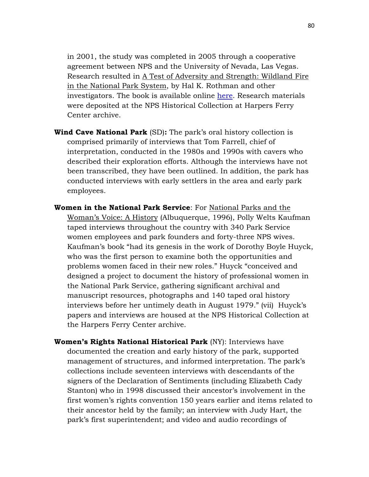in 2001, the study was completed in 2005 through a cooperative agreement between NPS and the University of Nevada, Las Vegas. Research resulted in A Test of Adversity and Strength: Wildland Fire in the National Park System, by Hal K. Rothman and other investigators. The book is available online [here.](http://www.nps.gov/fire/wildland-fire/resources/documents/wildland-fire-history_introch1.pdf) Research materials were deposited at the NPS Historical Collection at Harpers Ferry Center archive.

- **Wind Cave National Park** (SD)**:** The park's oral history collection is comprised primarily of interviews that Tom Farrell, chief of interpretation, conducted in the 1980s and 1990s with cavers who described their exploration efforts. Although the interviews have not been transcribed, they have been outlined. In addition, the park has conducted interviews with early settlers in the area and early park employees.
- **Women in the National Park Service**: For National Parks and the Woman's Voice: A History (Albuquerque, 1996), Polly Welts Kaufman taped interviews throughout the country with 340 Park Service women employees and park founders and forty-three NPS wives. Kaufman's book "had its genesis in the work of Dorothy Boyle Huyck, who was the first person to examine both the opportunities and problems women faced in their new roles." Huyck "conceived and designed a project to document the history of professional women in the National Park Service, gathering significant archival and manuscript resources, photographs and 140 taped oral history interviews before her untimely death in August 1979." (vii) Huyck's papers and interviews are housed at the NPS Historical Collection at the Harpers Ferry Center archive.
- **Women's Rights National Historical Park** (NY): Interviews have documented the creation and early history of the park, supported management of structures, and informed interpretation. The park's collections include seventeen interviews with descendants of the signers of the Declaration of Sentiments (including Elizabeth Cady Stanton) who in 1998 discussed their ancestor's involvement in the first women's rights convention 150 years earlier and items related to their ancestor held by the family; an interview with Judy Hart, the park's first superintendent; and video and audio recordings of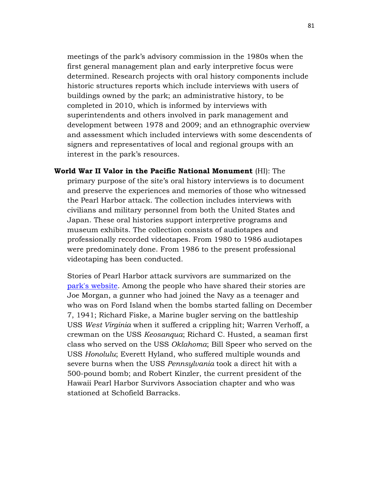meetings of the park's advisory commission in the 1980s when the first general management plan and early interpretive focus were determined. Research projects with oral history components include historic structures reports which include interviews with users of buildings owned by the park; an administrative history, to be completed in 2010, which is informed by interviews with superintendents and others involved in park management and development between 1978 and 2009; and an ethnographic overview and assessment which included interviews with some descendents of signers and representatives of local and regional groups with an interest in the park's resources.

**World War II Valor in the Pacific National Monument** (HI): The primary purpose of the site's oral history interviews is to document and preserve the experiences and memories of those who witnessed the Pearl Harbor attack. The collection includes interviews with civilians and military personnel from both the United States and Japan. These oral histories support interpretive programs and museum exhibits. The collection consists of audiotapes and professionally recorded videotapes. From 1980 to 1986 audiotapes were predominately done. From 1986 to the present professional videotaping has been conducted.

Stories of Pearl Harbor attack survivors are summarized on the [park's website.](http://www.nps.gov/valr/historyculture/survivors-relive.htm) Among the people who have shared their stories are Joe Morgan, a gunner who had joined the Navy as a teenager and who was on Ford Island when the bombs started falling on December 7, 1941; Richard Fiske, a Marine bugler serving on the battleship USS *West Virginia* when it suffered a crippling hit; Warren Verhoff, a crewman on the USS *Keosanqua*; Richard C. Husted, a seaman first class who served on the USS *Oklahoma*; Bill Speer who served on the USS *Honolulu*; Everett Hyland, who suffered multiple wounds and severe burns when the USS *Pennsylvania* took a direct hit with a 500-pound bomb; and Robert Kinzler, the current president of the Hawaii Pearl Harbor Survivors Association chapter and who was stationed at Schofield Barracks.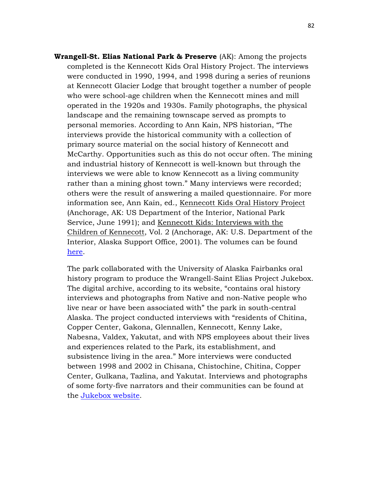**Wrangell-St. Elias National Park & Preserve** (AK): Among the projects completed is the Kennecott Kids Oral History Project. The interviews were conducted in 1990, 1994, and 1998 during a series of reunions at Kennecott Glacier Lodge that brought together a number of people who were school-age children when the Kennecott mines and mill operated in the 1920s and 1930s. Family photographs, the physical landscape and the remaining townscape served as prompts to personal memories. According to Ann Kain, NPS historian, "The interviews provide the historical community with a collection of primary source material on the social history of Kennecott and McCarthy. Opportunities such as this do not occur often. The mining and industrial history of Kennecott is well-known but through the interviews we were able to know Kennecott as a living community rather than a mining ghost town." Many interviews were recorded; others were the result of answering a mailed questionnaire. For more information see, Ann Kain, ed., Kennecott Kids Oral History Project (Anchorage, AK: US Department of the Interior, National Park Service, June 1991); and Kennecott Kids: Interviews with the Children of Kennecott, Vol. 2 (Anchorage, AK: U.S. Department of the Interior, Alaska Support Office, 2001). The volumes can be found [here.](http://www.nps.gov/wrst/historyculture/kennecott-kids.htm)

The park collaborated with the University of Alaska Fairbanks oral history program to produce the Wrangell-Saint Elias Project Jukebox. The digital archive, according to its website, "contains oral history interviews and photographs from Native and non-Native people who live near or have been associated with" the park in south-central Alaska. The project conducted interviews with "residents of Chitina, Copper Center, Gakona, Glennallen, Kennecott, Kenny Lake, Nabesna, Valdex, Yakutat, and with NPS employees about their lives and experiences related to the Park, its establishment, and subsistence living in the area." More interviews were conducted between 1998 and 2002 in Chisana, Chistochine, Chitina, Copper Center, Gulkana, Tazlina, and Yakutat. Interviews and photographs of some forty-five narrators and their communities can be found at the [Jukebox website.](http://jukebox.uaf.edu/WRST/home.html)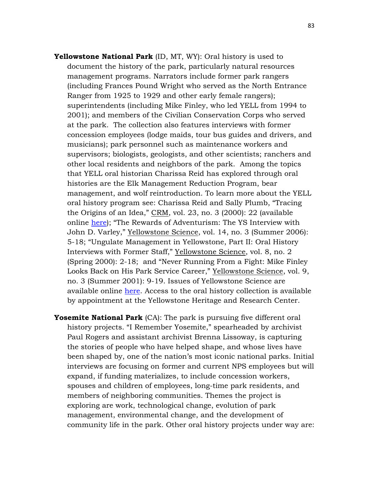- **Yellowstone National Park** (ID, MT, WY): Oral history is used to document the history of the park, particularly natural resources management programs. Narrators include former park rangers (including Frances Pound Wright who served as the North Entrance Ranger from 1925 to 1929 and other early female rangers); superintendents (including Mike Finley, who led YELL from 1994 to 2001); and members of the Civilian Conservation Corps who served at the park. The collection also features interviews with former concession employees (lodge maids, tour bus guides and drivers, and musicians); park personnel such as maintenance workers and supervisors; biologists, geologists, and other scientists; ranchers and other local residents and neighbors of the park. Among the topics that YELL oral historian Charissa Reid has explored through oral histories are the Elk Management Reduction Program, bear management, and wolf reintroduction. To learn more about the YELL oral history program see: Charissa Reid and Sally Plumb, "Tracing the Origins of an Idea," CRM, vol. 23, no. 3 (2000): 22 (available online [here\)](http://npshistory.com/newsletters/crm/crm-v23n3.pdf); "The Rewards of Adventurism: The YS Interview with John D. Varley," Yellowstone Science, vol. 14, no. 3 (Summer 2006): 5-18; "Ungulate Management in Yellowstone, Part II: Oral History Interviews with Former Staff," Yellowstone Science, vol. 8, no. 2 (Spring 2000): 2-18; and "Never Running From a Fight: Mike Finley Looks Back on His Park Service Career," Yellowstone Science, vol. 9, no. 3 (Summer 2001): 9-19. Issues of Yellowstone Science are available online [here.](http://www.nps.gov/yell/planyourvisit/yellsci-issues.htm) Access to the oral history collection is available by appointment at the Yellowstone Heritage and Research Center.
- **Yosemite National Park** (CA): The park is pursuing five different oral history projects. "I Remember Yosemite," spearheaded by archivist Paul Rogers and assistant archivist Brenna Lissoway, is capturing the stories of people who have helped shape, and whose lives have been shaped by, one of the nation's most iconic national parks. Initial interviews are focusing on former and current NPS employees but will expand, if funding materializes, to include concession workers, spouses and children of employees, long-time park residents, and members of neighboring communities. Themes the project is exploring are work, technological change, evolution of park management, environmental change, and the development of community life in the park. Other oral history projects under way are: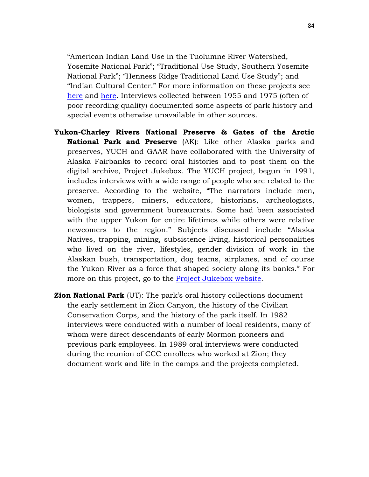"American Indian Land Use in the Tuolumne River Watershed, Yosemite National Park"; "Traditional Use Study, Southern Yosemite National Park"; "Henness Ridge Traditional Land Use Study"; and "Indian Cultural Center." For more information on these projects see [here](http://www.nps.gov/yose/historyculture/oral-history.htm) and [here.](http://www.nps.gov/yose/parknews/oralhistory08.htm) Interviews collected between 1955 and 1975 (often of poor recording quality) documented some aspects of park history and special events otherwise unavailable in other sources.

- **Yukon-Charley Rivers National Preserve & Gates of the Arctic National Park and Preserve** (AK): Like other Alaska parks and preserves, YUCH and GAAR have collaborated with the University of Alaska Fairbanks to record oral histories and to post them on the digital archive, Project Jukebox. The YUCH project, begun in 1991, includes interviews with a wide range of people who are related to the preserve. According to the website, "The narrators include men, women, trappers, miners, educators, historians, archeologists, biologists and government bureaucrats. Some had been associated with the upper Yukon for entire lifetimes while others were relative newcomers to the region." Subjects discussed include "Alaska Natives, trapping, mining, subsistence living, historical personalities who lived on the river, lifestyles, gender division of work in the Alaskan bush, transportation, dog teams, airplanes, and of course the Yukon River as a force that shaped society along its banks." For more on this project, go to the [Project Jukebox website.](http://jukebox.uaf.edu/YUCH/index.htm)
- **Zion National Park** (UT): The park's oral history collections document the early settlement in Zion Canyon, the history of the Civilian Conservation Corps, and the history of the park itself. In 1982 interviews were conducted with a number of local residents, many of whom were direct descendants of early Mormon pioneers and previous park employees. In 1989 oral interviews were conducted during the reunion of CCC enrollees who worked at Zion; they document work and life in the camps and the projects completed.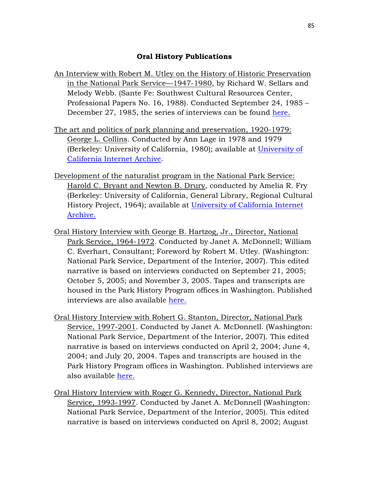#### **Oral History Publications**

- An Interview with Robert M. Utley on the History of Historic Preservation in the National Park Service—1947-1980, by Richard W. Sellars and Melody Webb. (Sante Fe: Southwest Cultural Resources Center, Professional Papers No. 16, 1988). Conducted September 24, 1985 – December 27, 1985, the series of interviews can be found [here.](http://www.nps.gov/parkhistory/online_books/utley/utley.htm)
- The art and politics of park planning and preservation, 1920-1979: George L. Collins. Conducted by Ann Lage in 1978 and 1979 (Berkeley: University of California, 1980); available at [University of](http://www.archive.org/details/artpoliticspark00collrich)  [California Internet Archive.](http://www.archive.org/details/artpoliticspark00collrich)
- Development of the naturalist program in the National Park Service: Harold C. Bryant and Newton B. Drury, conducted by Amelia R. Fry (Berkeley: University of California, General Library, Regional Cultural History Project, 1964); available at [University of California Internet](http://www.archive.org/details/developmentnat00bryarich)  [Archive.](http://www.archive.org/details/developmentnat00bryarich)
- Oral History Interview with George B. Hartzog, Jr., Director, National Park Service, 1964-1972. Conducted by Janet A. McDonnell; William C. Everhart, Consultant; Foreword by Robert M. Utley. (Washington: National Park Service, Department of the Interior, 2007). This edited narrative is based on interviews conducted on September 21, 2005; October 5, 2005; and November 3, 2005. Tapes and transcripts are housed in the Park History Program offices in Washington. Published interviews are also available [here.](http://www.nps.gov/parkhistory/online_books/director/hartzog.pdf)
- Oral History Interview with Robert G. Stanton, Director, National Park Service, 1997-2001. Conducted by Janet A. McDonnell. (Washington: National Park Service, Department of the Interior, 2007). This edited narrative is based on interviews conducted on April 2, 2004; June 4, 2004; and July 20, 2004. Tapes and transcripts are housed in the Park History Program offices in Washington. Published interviews are also available [here.](http://www.cr.nps.gov/history/online_books/director/stanton.pdf)
- Oral History Interview with Roger G. Kennedy, Director, National Park Service, 1993-1997. Conducted by Janet A. McDonnell (Washington: National Park Service, Department of the Interior, 2005). This edited narrative is based on interviews conducted on April 8, 2002; August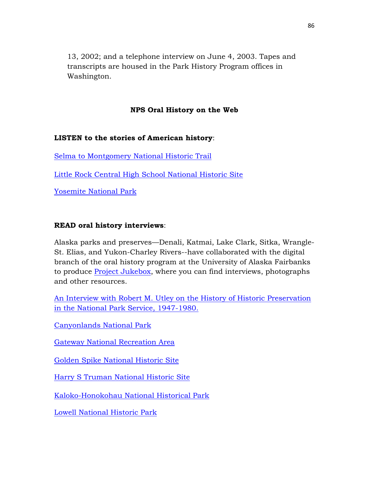13, 2002; and a telephone interview on June 4, 2003. Tapes and transcripts are housed in the Park History Program offices in Washington.

# **NPS Oral History on the Web**

### **LISTEN to the stories of American history**:

[Selma to Montgomery National Historic Trail](http://www.nps.gov/semo/learn/historyculture/stories.htm)

[Little Rock Central High School National Historic Site](http://www.nps.gov/chsc/historyculture/oral-history.htm)

[Yosemite National Park](http://www.nps.gov/yose/historyculture/oral-history.htm) 

# **READ oral history interviews**:

Alaska parks and preserves—Denali, Katmai, Lake Clark, Sitka, Wrangle-St. Elias, and Yukon-Charley Rivers--have collaborated with the digital branch of the oral history program at the University of Alaska Fairbanks to produce [Project Jukebox,](http://jukebox.uaf.edu/) where you can find interviews, photographs and other resources.

[An Interview with Robert M. Utley on the History of Historic Preservation](http://www.nps.gov/parkhistory/online_books/utley/utley.htm)  [in the National Park Service, 1947-1980.](http://www.nps.gov/parkhistory/online_books/utley/utley.htm) 

[Canyonlands National Park](http://www.nps.gov/cany/historyculture/bateswilson.htm)

[Gateway National Recreation Area](http://www.nps.gov/gate/historyculture/sandyhookpeople.htm)

[Golden Spike National Historic Site](http://www.nps.gov/archive/gosp/research/pappy_clay.html#top)

[Harry S Truman National Historic Site](http://www.nps.gov/hstr/historyculture/oral-history-project.htm)

[Kaloko-Honokohau National Historical Park](http://www.nps.gov/kaho/learn/historyculture/stories.htm) 

[Lowell National Historic Park](http://library.uml.edu/clh/OH/OrHist.htm)